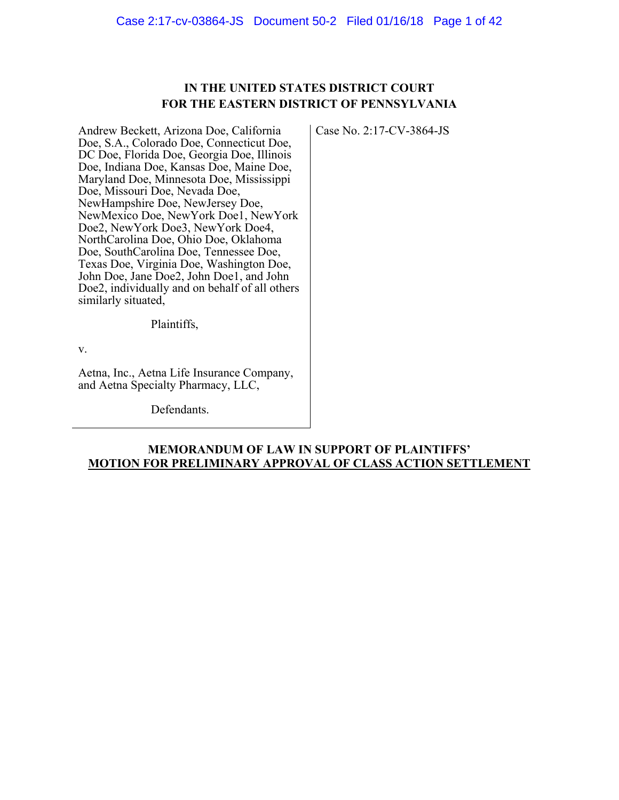## **IN THE UNITED STATES DISTRICT COURT FOR THE EASTERN DISTRICT OF PENNSYLVANIA**

Case No. 2:17-CV-3864-JS

Andrew Beckett, Arizona Doe, California Doe, S.A., Colorado Doe, Connecticut Doe, DC Doe, Florida Doe, Georgia Doe, Illinois Doe, Indiana Doe, Kansas Doe, Maine Doe, Maryland Doe, Minnesota Doe, Mississippi Doe, Missouri Doe, Nevada Doe, NewHampshire Doe, NewJersey Doe, NewMexico Doe, NewYork Doe1, NewYork Doe2, NewYork Doe3, NewYork Doe4, NorthCarolina Doe, Ohio Doe, Oklahoma Doe, SouthCarolina Doe, Tennessee Doe, Texas Doe, Virginia Doe, Washington Doe, John Doe, Jane Doe2, John Doe1, and John Doe2, individually and on behalf of all others similarly situated,

Plaintiffs,

v.

Aetna, Inc., Aetna Life Insurance Company, and Aetna Specialty Pharmacy, LLC,

Defendants.

## **MEMORANDUM OF LAW IN SUPPORT OF PLAINTIFFS' MOTION FOR PRELIMINARY APPROVAL OF CLASS ACTION SETTLEMENT**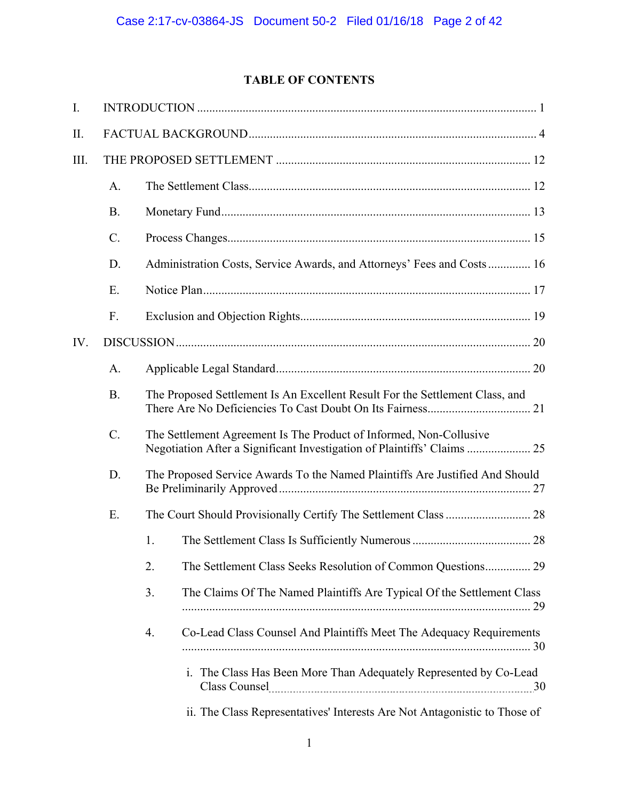# **TABLE OF CONTENTS**

| I.  |           |                                                                                                                                               |  |
|-----|-----------|-----------------------------------------------------------------------------------------------------------------------------------------------|--|
| Π.  |           |                                                                                                                                               |  |
| Ш.  |           |                                                                                                                                               |  |
|     | A.        |                                                                                                                                               |  |
|     | <b>B.</b> |                                                                                                                                               |  |
|     | $C$ .     |                                                                                                                                               |  |
|     | D.        | Administration Costs, Service Awards, and Attorneys' Fees and Costs 16                                                                        |  |
|     | E.        |                                                                                                                                               |  |
|     | F.        |                                                                                                                                               |  |
| IV. |           |                                                                                                                                               |  |
|     | A.        |                                                                                                                                               |  |
|     | <b>B.</b> | The Proposed Settlement Is An Excellent Result For the Settlement Class, and                                                                  |  |
|     | $C$ .     | The Settlement Agreement Is The Product of Informed, Non-Collusive<br>Negotiation After a Significant Investigation of Plaintiffs' Claims  25 |  |
|     | D.        | The Proposed Service Awards To the Named Plaintiffs Are Justified And Should                                                                  |  |
|     | E.        |                                                                                                                                               |  |
|     |           | 1.                                                                                                                                            |  |
|     |           | The Settlement Class Seeks Resolution of Common Questions 29<br>2.                                                                            |  |
|     |           | 3.<br>The Claims Of The Named Plaintiffs Are Typical Of the Settlement Class                                                                  |  |
|     |           | Co-Lead Class Counsel And Plaintiffs Meet The Adequacy Requirements<br>4.                                                                     |  |
|     |           | i. The Class Has Been More Than Adequately Represented by Co-Lead                                                                             |  |
|     |           | ii. The Class Representatives' Interests Are Not Antagonistic to Those of                                                                     |  |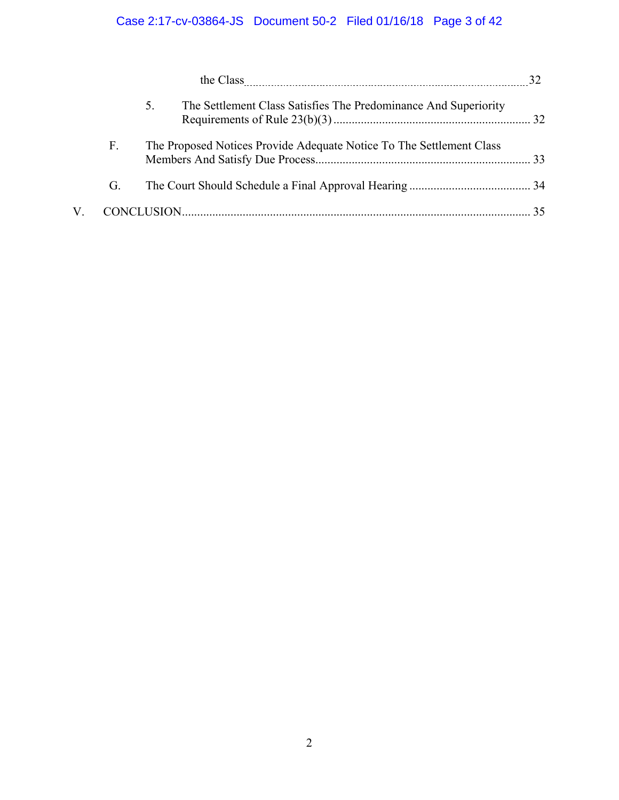|    | the Class 22                                                          |  |
|----|-----------------------------------------------------------------------|--|
|    | The Settlement Class Satisfies The Predominance And Superiority<br>5. |  |
| F. | The Proposed Notices Provide Adequate Notice To The Settlement Class  |  |
| G. |                                                                       |  |
|    |                                                                       |  |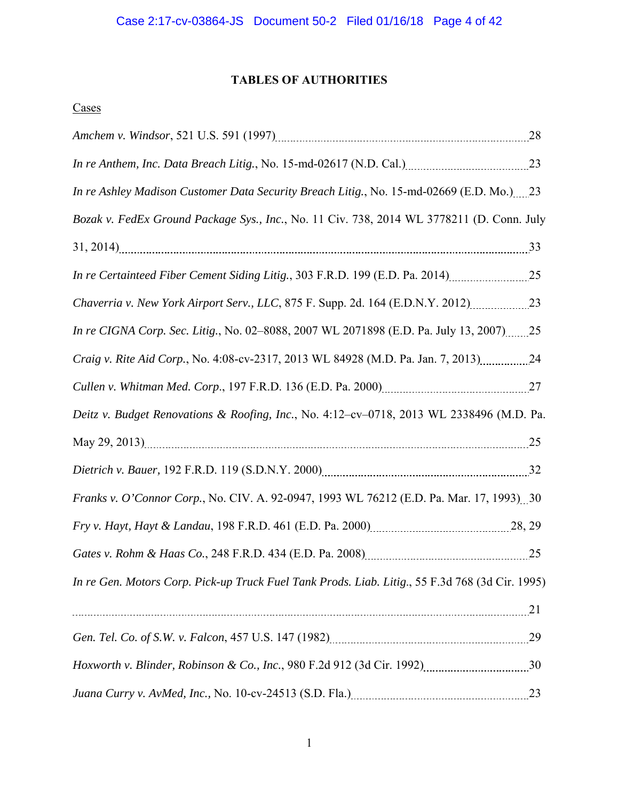# **TABLES OF AUTHORITIES**

## **Cases**

| In re Anthem, Inc. Data Breach Litig., No. 15-md-02617 (N.D. Cal.) [10011010001010101010101010101010                                                                                     |  |
|------------------------------------------------------------------------------------------------------------------------------------------------------------------------------------------|--|
| In re Ashley Madison Customer Data Security Breach Litig., No. 15-md-02669 (E.D. Mo.) 23                                                                                                 |  |
| Bozak v. FedEx Ground Package Sys., Inc., No. 11 Civ. 738, 2014 WL 3778211 (D. Conn. July                                                                                                |  |
|                                                                                                                                                                                          |  |
| In re Certainteed Fiber Cement Siding Litig., 303 F.R.D. 199 (E.D. Pa. 2014)                                                                                                             |  |
|                                                                                                                                                                                          |  |
| In re CIGNA Corp. Sec. Litig., No. 02-8088, 2007 WL 2071898 (E.D. Pa. July 13, 2007)25                                                                                                   |  |
| Craig v. Rite Aid Corp., No. 4:08-cv-2317, 2013 WL 84928 (M.D. Pa. Jan. 7, 2013)24                                                                                                       |  |
|                                                                                                                                                                                          |  |
| Deitz v. Budget Renovations & Roofing, Inc., No. 4:12-cv-0718, 2013 WL 2338496 (M.D. Pa.                                                                                                 |  |
|                                                                                                                                                                                          |  |
|                                                                                                                                                                                          |  |
| Franks v. O'Connor Corp., No. CIV. A. 92-0947, 1993 WL 76212 (E.D. Pa. Mar. 17, 1993) 30                                                                                                 |  |
|                                                                                                                                                                                          |  |
|                                                                                                                                                                                          |  |
| In re Gen. Motors Corp. Pick-up Truck Fuel Tank Prods. Liab. Litig., 55 F.3d 768 (3d Cir. 1995)                                                                                          |  |
|                                                                                                                                                                                          |  |
| Gen. Tel. Co. of S.W. v. Falcon, 457 U.S. 147 (1982) <i>[100] (100) [29] [29] [100] [29] [100] [29] [29] [100] [29] [29] [29] [100] [29] [29] [100] [29] [100] [29] [100] [29] [100]</i> |  |
|                                                                                                                                                                                          |  |
|                                                                                                                                                                                          |  |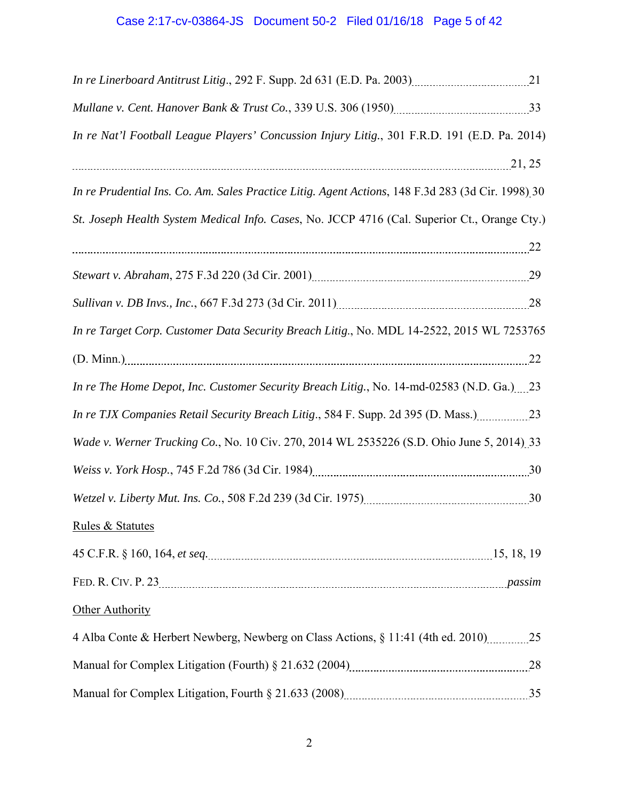# Case 2:17-cv-03864-JS Document 50-2 Filed 01/16/18 Page 5 of 42

| In re Nat'l Football League Players' Concussion Injury Litig., 301 F.R.D. 191 (E.D. Pa. 2014)     |  |
|---------------------------------------------------------------------------------------------------|--|
| 21, 25                                                                                            |  |
| In re Prudential Ins. Co. Am. Sales Practice Litig. Agent Actions, 148 F.3d 283 (3d Cir. 1998) 30 |  |
| St. Joseph Health System Medical Info. Cases, No. JCCP 4716 (Cal. Superior Ct., Orange Cty.)      |  |
|                                                                                                   |  |
|                                                                                                   |  |
| Sullivan v. DB Invs., Inc., 667 F.3d 273 (3d Cir. 2011)<br>28                                     |  |
| In re Target Corp. Customer Data Security Breach Litig., No. MDL 14-2522, 2015 WL 7253765         |  |
| $(D. Minn.)$ 22                                                                                   |  |
| In re The Home Depot, Inc. Customer Security Breach Litig., No. 14-md-02583 (N.D. Ga.) 23         |  |
| In re TJX Companies Retail Security Breach Litig., 584 F. Supp. 2d 395 (D. Mass.)23               |  |
| Wade v. Werner Trucking Co., No. 10 Civ. 270, 2014 WL 2535226 (S.D. Ohio June 5, 2014) 33         |  |
|                                                                                                   |  |
|                                                                                                   |  |
| <b>Rules &amp; Statutes</b>                                                                       |  |
|                                                                                                   |  |
|                                                                                                   |  |
| Other Authority                                                                                   |  |
| 4 Alba Conte & Herbert Newberg, Newberg on Class Actions, § 11:41 (4th ed. 2010) 25               |  |
|                                                                                                   |  |
|                                                                                                   |  |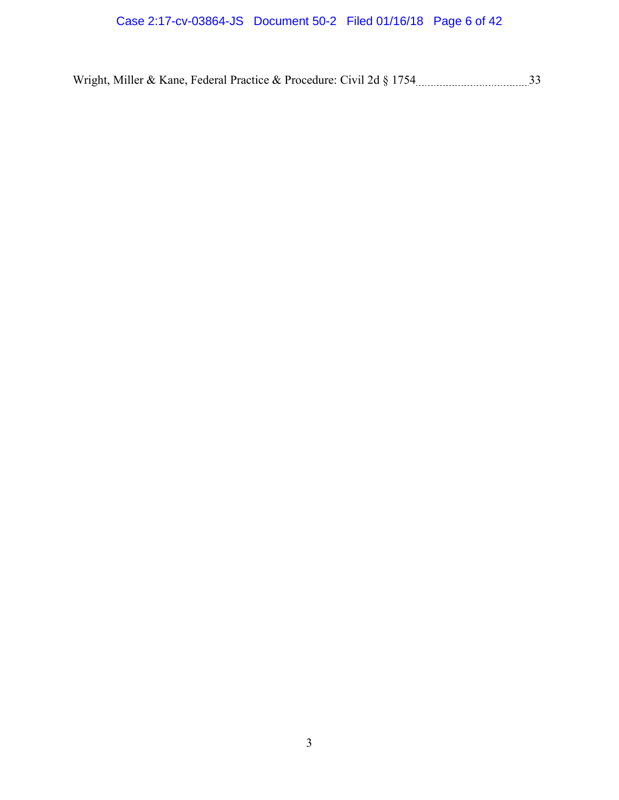Wright, Miller & Kane, Federal Practice & Procedure: Civil 2d § 1754 33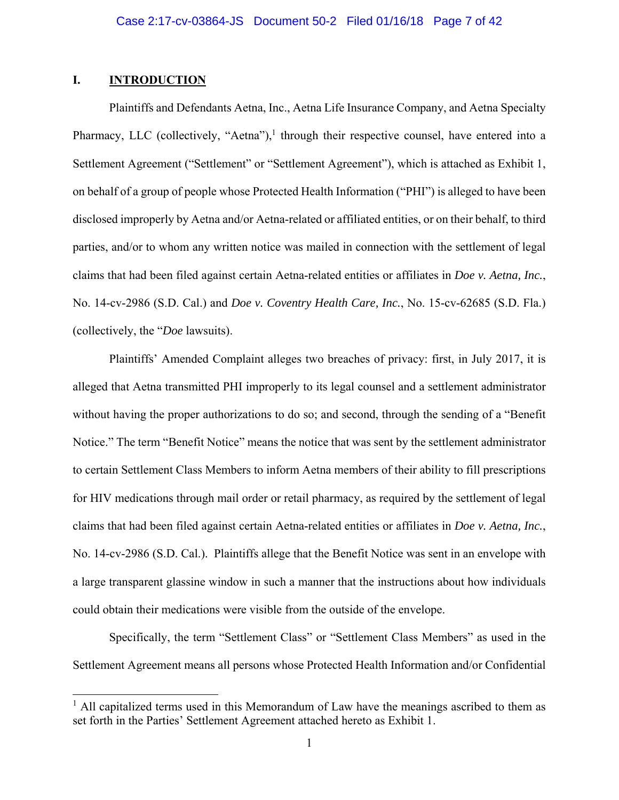## **I. INTRODUCTION**

 $\overline{a}$ 

Plaintiffs and Defendants Aetna, Inc., Aetna Life Insurance Company, and Aetna Specialty Pharmacy, LLC (collectively, "Aetna"),<sup>1</sup> through their respective counsel, have entered into a Settlement Agreement ("Settlement" or "Settlement Agreement"), which is attached as Exhibit 1, on behalf of a group of people whose Protected Health Information ("PHI") is alleged to have been disclosed improperly by Aetna and/or Aetna-related or affiliated entities, or on their behalf, to third parties, and/or to whom any written notice was mailed in connection with the settlement of legal claims that had been filed against certain Aetna-related entities or affiliates in *Doe v. Aetna, Inc.*, No. 14-cv-2986 (S.D. Cal.) and *Doe v. Coventry Health Care, Inc.*, No. 15-cv-62685 (S.D. Fla.) (collectively, the "*Doe* lawsuits).

Plaintiffs' Amended Complaint alleges two breaches of privacy: first, in July 2017, it is alleged that Aetna transmitted PHI improperly to its legal counsel and a settlement administrator without having the proper authorizations to do so; and second, through the sending of a "Benefit Notice." The term "Benefit Notice" means the notice that was sent by the settlement administrator to certain Settlement Class Members to inform Aetna members of their ability to fill prescriptions for HIV medications through mail order or retail pharmacy, as required by the settlement of legal claims that had been filed against certain Aetna-related entities or affiliates in *Doe v. Aetna, Inc.*, No. 14-cv-2986 (S.D. Cal.). Plaintiffs allege that the Benefit Notice was sent in an envelope with a large transparent glassine window in such a manner that the instructions about how individuals could obtain their medications were visible from the outside of the envelope.

Specifically, the term "Settlement Class" or "Settlement Class Members" as used in the Settlement Agreement means all persons whose Protected Health Information and/or Confidential

 $<sup>1</sup>$  All capitalized terms used in this Memorandum of Law have the meanings ascribed to them as</sup> set forth in the Parties' Settlement Agreement attached hereto as Exhibit 1.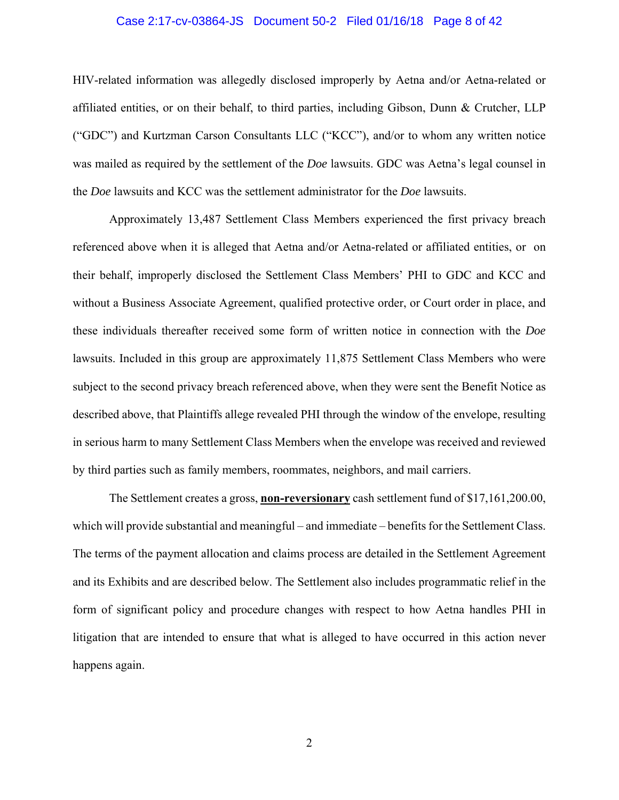## Case 2:17-cv-03864-JS Document 50-2 Filed 01/16/18 Page 8 of 42

HIV-related information was allegedly disclosed improperly by Aetna and/or Aetna-related or affiliated entities, or on their behalf, to third parties, including Gibson, Dunn & Crutcher, LLP ("GDC") and Kurtzman Carson Consultants LLC ("KCC"), and/or to whom any written notice was mailed as required by the settlement of the *Doe* lawsuits. GDC was Aetna's legal counsel in the *Doe* lawsuits and KCC was the settlement administrator for the *Doe* lawsuits.

Approximately 13,487 Settlement Class Members experienced the first privacy breach referenced above when it is alleged that Aetna and/or Aetna-related or affiliated entities, or on their behalf, improperly disclosed the Settlement Class Members' PHI to GDC and KCC and without a Business Associate Agreement, qualified protective order, or Court order in place, and these individuals thereafter received some form of written notice in connection with the *Doe* lawsuits. Included in this group are approximately 11,875 Settlement Class Members who were subject to the second privacy breach referenced above, when they were sent the Benefit Notice as described above, that Plaintiffs allege revealed PHI through the window of the envelope, resulting in serious harm to many Settlement Class Members when the envelope was received and reviewed by third parties such as family members, roommates, neighbors, and mail carriers.

The Settlement creates a gross, **non-reversionary** cash settlement fund of \$17,161,200.00, which will provide substantial and meaningful – and immediate – benefits for the Settlement Class. The terms of the payment allocation and claims process are detailed in the Settlement Agreement and its Exhibits and are described below. The Settlement also includes programmatic relief in the form of significant policy and procedure changes with respect to how Aetna handles PHI in litigation that are intended to ensure that what is alleged to have occurred in this action never happens again.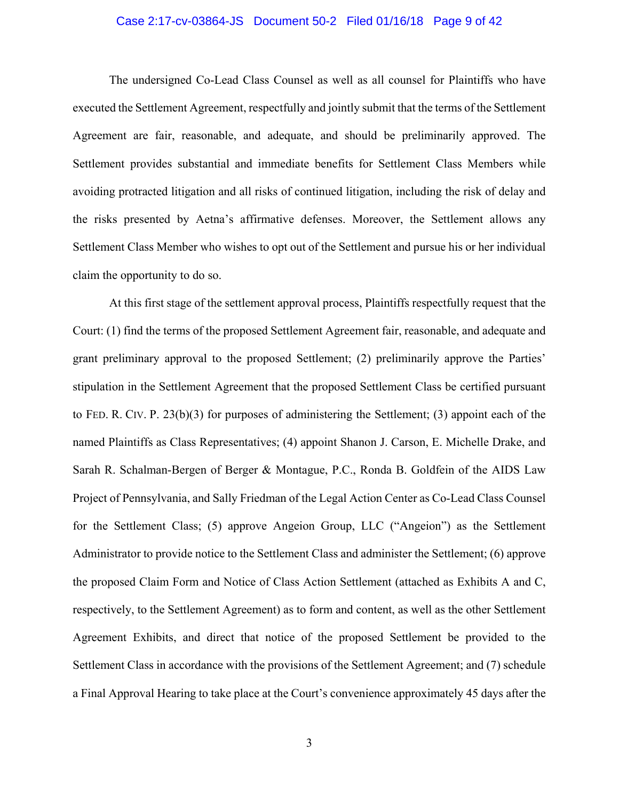## Case 2:17-cv-03864-JS Document 50-2 Filed 01/16/18 Page 9 of 42

The undersigned Co-Lead Class Counsel as well as all counsel for Plaintiffs who have executed the Settlement Agreement, respectfully and jointly submit that the terms of the Settlement Agreement are fair, reasonable, and adequate, and should be preliminarily approved. The Settlement provides substantial and immediate benefits for Settlement Class Members while avoiding protracted litigation and all risks of continued litigation, including the risk of delay and the risks presented by Aetna's affirmative defenses. Moreover, the Settlement allows any Settlement Class Member who wishes to opt out of the Settlement and pursue his or her individual claim the opportunity to do so.

At this first stage of the settlement approval process, Plaintiffs respectfully request that the Court: (1) find the terms of the proposed Settlement Agreement fair, reasonable, and adequate and grant preliminary approval to the proposed Settlement; (2) preliminarily approve the Parties' stipulation in the Settlement Agreement that the proposed Settlement Class be certified pursuant to FED. R. CIV. P. 23(b)(3) for purposes of administering the Settlement; (3) appoint each of the named Plaintiffs as Class Representatives; (4) appoint Shanon J. Carson, E. Michelle Drake, and Sarah R. Schalman-Bergen of Berger & Montague, P.C., Ronda B. Goldfein of the AIDS Law Project of Pennsylvania, and Sally Friedman of the Legal Action Center as Co-Lead Class Counsel for the Settlement Class; (5) approve Angeion Group, LLC ("Angeion") as the Settlement Administrator to provide notice to the Settlement Class and administer the Settlement; (6) approve the proposed Claim Form and Notice of Class Action Settlement (attached as Exhibits A and C, respectively, to the Settlement Agreement) as to form and content, as well as the other Settlement Agreement Exhibits, and direct that notice of the proposed Settlement be provided to the Settlement Class in accordance with the provisions of the Settlement Agreement; and (7) schedule a Final Approval Hearing to take place at the Court's convenience approximately 45 days after the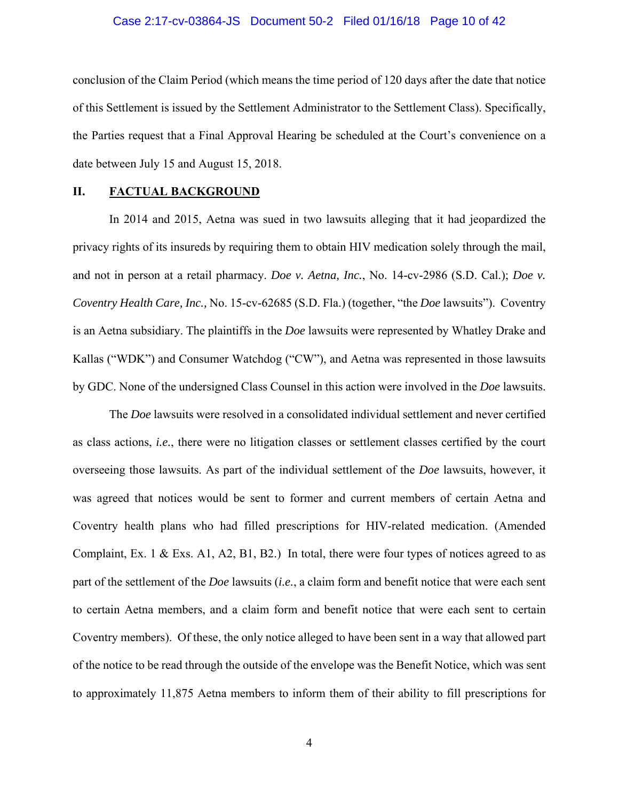## Case 2:17-cv-03864-JS Document 50-2 Filed 01/16/18 Page 10 of 42

conclusion of the Claim Period (which means the time period of 120 days after the date that notice of this Settlement is issued by the Settlement Administrator to the Settlement Class). Specifically, the Parties request that a Final Approval Hearing be scheduled at the Court's convenience on a date between July 15 and August 15, 2018.

## **II. FACTUAL BACKGROUND**

In 2014 and 2015, Aetna was sued in two lawsuits alleging that it had jeopardized the privacy rights of its insureds by requiring them to obtain HIV medication solely through the mail, and not in person at a retail pharmacy. *Doe v. Aetna, Inc.*, No. 14-cv-2986 (S.D. Cal.); *Doe v. Coventry Health Care, Inc.,* No. 15-cv-62685 (S.D. Fla.) (together, "the *Doe* lawsuits"). Coventry is an Aetna subsidiary. The plaintiffs in the *Doe* lawsuits were represented by Whatley Drake and Kallas ("WDK") and Consumer Watchdog ("CW"), and Aetna was represented in those lawsuits by GDC. None of the undersigned Class Counsel in this action were involved in the *Doe* lawsuits.

The *Doe* lawsuits were resolved in a consolidated individual settlement and never certified as class actions, *i.e.*, there were no litigation classes or settlement classes certified by the court overseeing those lawsuits. As part of the individual settlement of the *Doe* lawsuits, however, it was agreed that notices would be sent to former and current members of certain Aetna and Coventry health plans who had filled prescriptions for HIV-related medication. (Amended Complaint, Ex. 1 & Exs. A1, A2, B1, B2.) In total, there were four types of notices agreed to as part of the settlement of the *Doe* lawsuits (*i.e.*, a claim form and benefit notice that were each sent to certain Aetna members, and a claim form and benefit notice that were each sent to certain Coventry members). Of these, the only notice alleged to have been sent in a way that allowed part of the notice to be read through the outside of the envelope was the Benefit Notice, which was sent to approximately 11,875 Aetna members to inform them of their ability to fill prescriptions for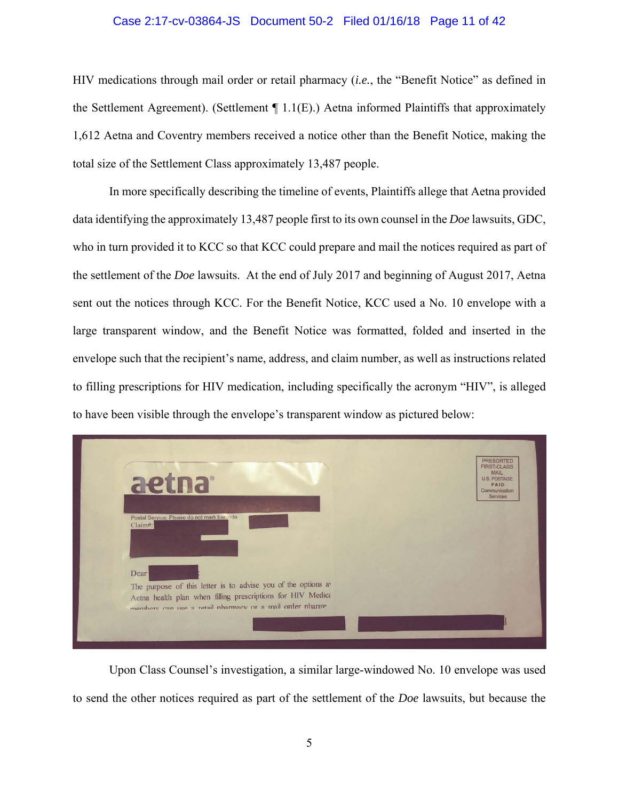#### Case 2:17-cv-03864-JS Document 50-2 Filed 01/16/18 Page 11 of 42

HIV medications through mail order or retail pharmacy (*i.e.*, the "Benefit Notice" as defined in the Settlement Agreement). (Settlement  $\P$  1.1(E).) Aetna informed Plaintiffs that approximately 1,612 Aetna and Coventry members received a notice other than the Benefit Notice, making the total size of the Settlement Class approximately 13,487 people.

In more specifically describing the timeline of events, Plaintiffs allege that Aetna provided data identifying the approximately 13,487 people first to its own counsel in the *Doe* lawsuits, GDC, who in turn provided it to KCC so that KCC could prepare and mail the notices required as part of the settlement of the *Doe* lawsuits. At the end of July 2017 and beginning of August 2017, Aetna sent out the notices through KCC. For the Benefit Notice, KCC used a No. 10 envelope with a large transparent window, and the Benefit Notice was formatted, folded and inserted in the envelope such that the recipient's name, address, and claim number, as well as instructions related to filling prescriptions for HIV medication, including specifically the acronym "HIV", is alleged to have been visible through the envelope's transparent window as pictured below:



Upon Class Counsel's investigation, a similar large-windowed No. 10 envelope was used to send the other notices required as part of the settlement of the *Doe* lawsuits, but because the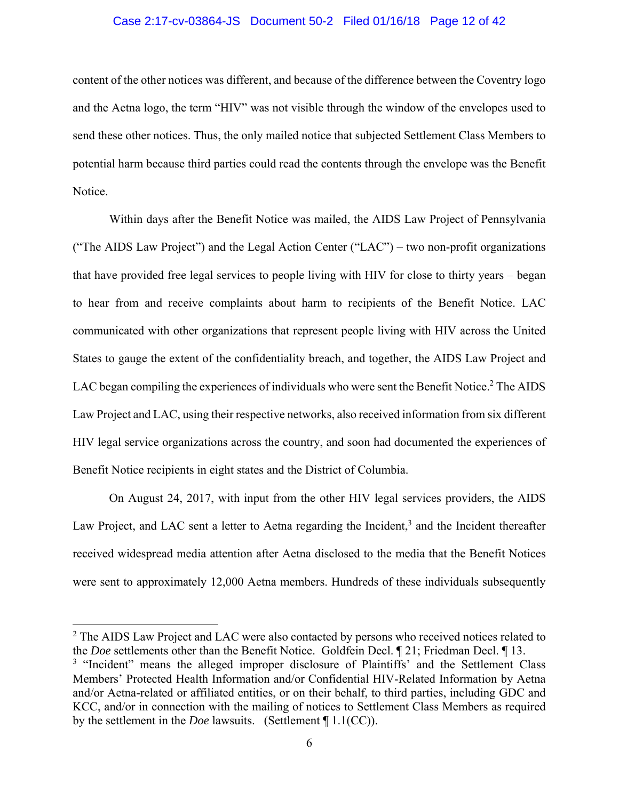## Case 2:17-cv-03864-JS Document 50-2 Filed 01/16/18 Page 12 of 42

content of the other notices was different, and because of the difference between the Coventry logo and the Aetna logo, the term "HIV" was not visible through the window of the envelopes used to send these other notices. Thus, the only mailed notice that subjected Settlement Class Members to potential harm because third parties could read the contents through the envelope was the Benefit Notice.

Within days after the Benefit Notice was mailed, the AIDS Law Project of Pennsylvania ("The AIDS Law Project") and the Legal Action Center ("LAC") – two non-profit organizations that have provided free legal services to people living with HIV for close to thirty years – began to hear from and receive complaints about harm to recipients of the Benefit Notice. LAC communicated with other organizations that represent people living with HIV across the United States to gauge the extent of the confidentiality breach, and together, the AIDS Law Project and LAC began compiling the experiences of individuals who were sent the Benefit Notice.<sup>2</sup> The AIDS Law Project and LAC, using their respective networks, also received information from six different HIV legal service organizations across the country, and soon had documented the experiences of Benefit Notice recipients in eight states and the District of Columbia.

On August 24, 2017, with input from the other HIV legal services providers, the AIDS Law Project, and LAC sent a letter to Aetna regarding the Incident,<sup>3</sup> and the Incident thereafter received widespread media attention after Aetna disclosed to the media that the Benefit Notices were sent to approximately 12,000 Aetna members. Hundreds of these individuals subsequently

 $2$  The AIDS Law Project and LAC were also contacted by persons who received notices related to the *Doe* settlements other than the Benefit Notice. Goldfein Decl. ¶ 21; Friedman Decl. ¶ 13. <sup>3</sup> "Incident" means the alleged improper disclosure of Plaintiffs' and the Settlement Class Members' Protected Health Information and/or Confidential HIV-Related Information by Aetna

 $\overline{a}$ 

and/or Aetna-related or affiliated entities, or on their behalf, to third parties, including GDC and KCC, and/or in connection with the mailing of notices to Settlement Class Members as required by the settlement in the *Doe* lawsuits. (Settlement ¶ 1.1(CC)).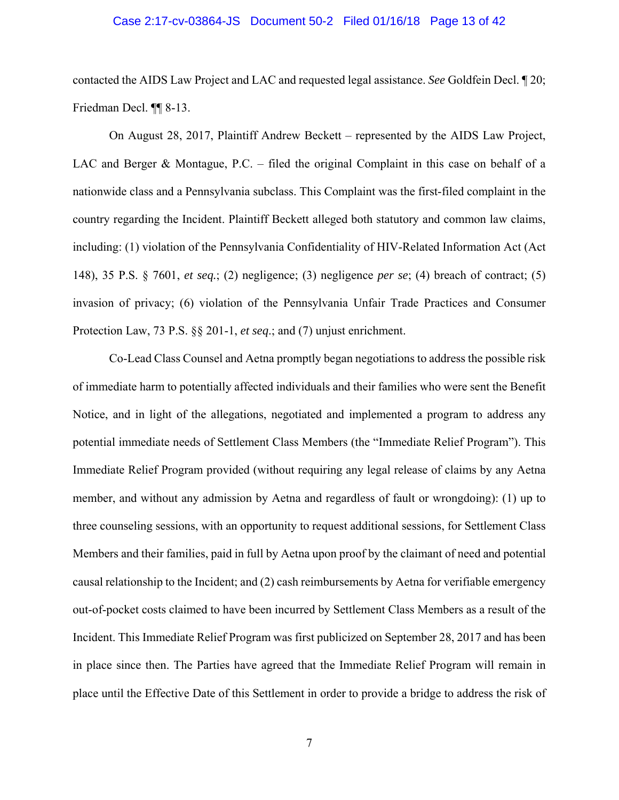## Case 2:17-cv-03864-JS Document 50-2 Filed 01/16/18 Page 13 of 42

contacted the AIDS Law Project and LAC and requested legal assistance. *See* Goldfein Decl. ¶ 20; Friedman Decl. ¶¶ 8-13.

On August 28, 2017, Plaintiff Andrew Beckett – represented by the AIDS Law Project, LAC and Berger & Montague, P.C. – filed the original Complaint in this case on behalf of a nationwide class and a Pennsylvania subclass. This Complaint was the first-filed complaint in the country regarding the Incident. Plaintiff Beckett alleged both statutory and common law claims, including: (1) violation of the Pennsylvania Confidentiality of HIV-Related Information Act (Act 148), 35 P.S. § 7601, *et seq.*; (2) negligence; (3) negligence *per se*; (4) breach of contract; (5) invasion of privacy; (6) violation of the Pennsylvania Unfair Trade Practices and Consumer Protection Law, 73 P.S. §§ 201-1, *et seq*.; and (7) unjust enrichment.

Co-Lead Class Counsel and Aetna promptly began negotiations to address the possible risk of immediate harm to potentially affected individuals and their families who were sent the Benefit Notice, and in light of the allegations, negotiated and implemented a program to address any potential immediate needs of Settlement Class Members (the "Immediate Relief Program"). This Immediate Relief Program provided (without requiring any legal release of claims by any Aetna member, and without any admission by Aetna and regardless of fault or wrongdoing): (1) up to three counseling sessions, with an opportunity to request additional sessions, for Settlement Class Members and their families, paid in full by Aetna upon proof by the claimant of need and potential causal relationship to the Incident; and (2) cash reimbursements by Aetna for verifiable emergency out-of-pocket costs claimed to have been incurred by Settlement Class Members as a result of the Incident. This Immediate Relief Program was first publicized on September 28, 2017 and has been in place since then. The Parties have agreed that the Immediate Relief Program will remain in place until the Effective Date of this Settlement in order to provide a bridge to address the risk of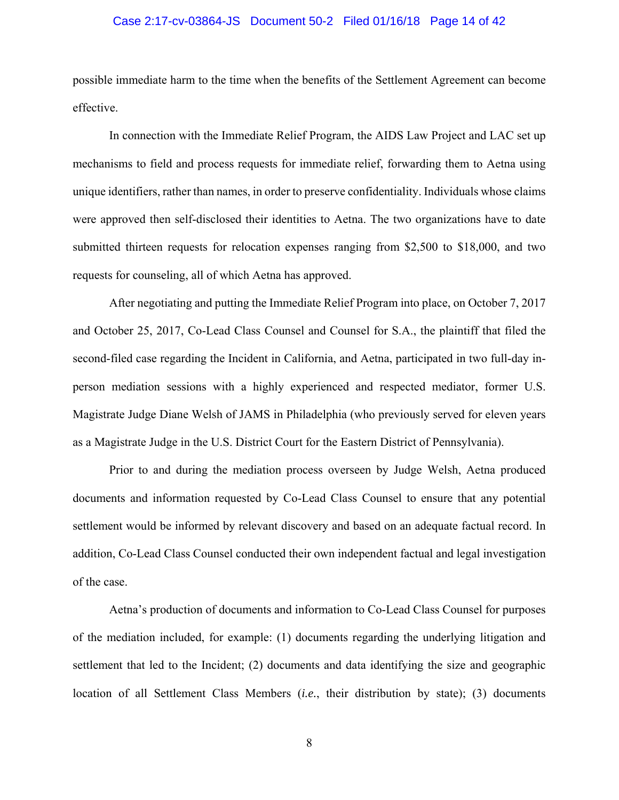## Case 2:17-cv-03864-JS Document 50-2 Filed 01/16/18 Page 14 of 42

possible immediate harm to the time when the benefits of the Settlement Agreement can become effective.

In connection with the Immediate Relief Program, the AIDS Law Project and LAC set up mechanisms to field and process requests for immediate relief, forwarding them to Aetna using unique identifiers, rather than names, in order to preserve confidentiality. Individuals whose claims were approved then self-disclosed their identities to Aetna. The two organizations have to date submitted thirteen requests for relocation expenses ranging from \$2,500 to \$18,000, and two requests for counseling, all of which Aetna has approved.

After negotiating and putting the Immediate Relief Program into place, on October 7, 2017 and October 25, 2017, Co-Lead Class Counsel and Counsel for S.A., the plaintiff that filed the second-filed case regarding the Incident in California, and Aetna, participated in two full-day inperson mediation sessions with a highly experienced and respected mediator, former U.S. Magistrate Judge Diane Welsh of JAMS in Philadelphia (who previously served for eleven years as a Magistrate Judge in the U.S. District Court for the Eastern District of Pennsylvania).

Prior to and during the mediation process overseen by Judge Welsh, Aetna produced documents and information requested by Co-Lead Class Counsel to ensure that any potential settlement would be informed by relevant discovery and based on an adequate factual record. In addition, Co-Lead Class Counsel conducted their own independent factual and legal investigation of the case.

Aetna's production of documents and information to Co-Lead Class Counsel for purposes of the mediation included, for example: (1) documents regarding the underlying litigation and settlement that led to the Incident; (2) documents and data identifying the size and geographic location of all Settlement Class Members (*i.e.*, their distribution by state); (3) documents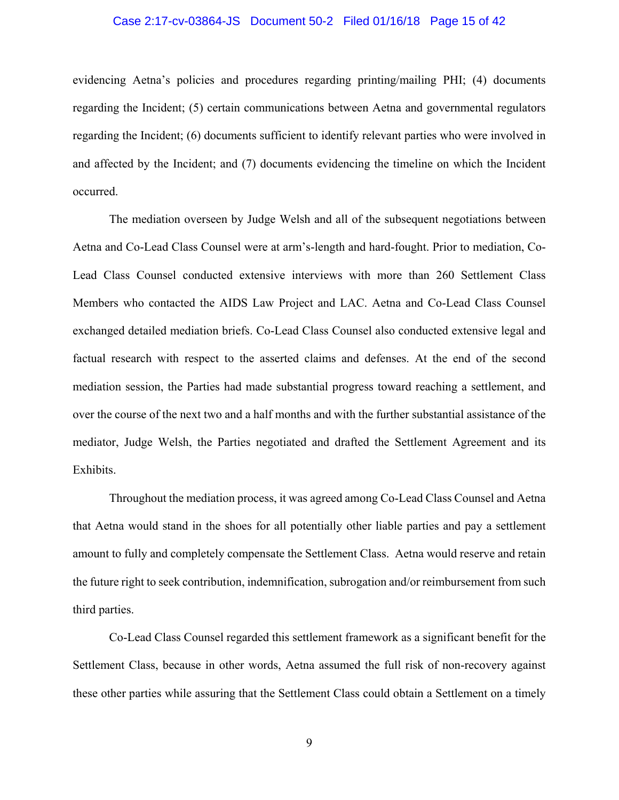## Case 2:17-cv-03864-JS Document 50-2 Filed 01/16/18 Page 15 of 42

evidencing Aetna's policies and procedures regarding printing/mailing PHI; (4) documents regarding the Incident; (5) certain communications between Aetna and governmental regulators regarding the Incident; (6) documents sufficient to identify relevant parties who were involved in and affected by the Incident; and (7) documents evidencing the timeline on which the Incident occurred.

The mediation overseen by Judge Welsh and all of the subsequent negotiations between Aetna and Co-Lead Class Counsel were at arm's-length and hard-fought. Prior to mediation, Co-Lead Class Counsel conducted extensive interviews with more than 260 Settlement Class Members who contacted the AIDS Law Project and LAC. Aetna and Co-Lead Class Counsel exchanged detailed mediation briefs. Co-Lead Class Counsel also conducted extensive legal and factual research with respect to the asserted claims and defenses. At the end of the second mediation session, the Parties had made substantial progress toward reaching a settlement, and over the course of the next two and a half months and with the further substantial assistance of the mediator, Judge Welsh, the Parties negotiated and drafted the Settlement Agreement and its Exhibits.

Throughout the mediation process, it was agreed among Co-Lead Class Counsel and Aetna that Aetna would stand in the shoes for all potentially other liable parties and pay a settlement amount to fully and completely compensate the Settlement Class. Aetna would reserve and retain the future right to seek contribution, indemnification, subrogation and/or reimbursement from such third parties.

Co-Lead Class Counsel regarded this settlement framework as a significant benefit for the Settlement Class, because in other words, Aetna assumed the full risk of non-recovery against these other parties while assuring that the Settlement Class could obtain a Settlement on a timely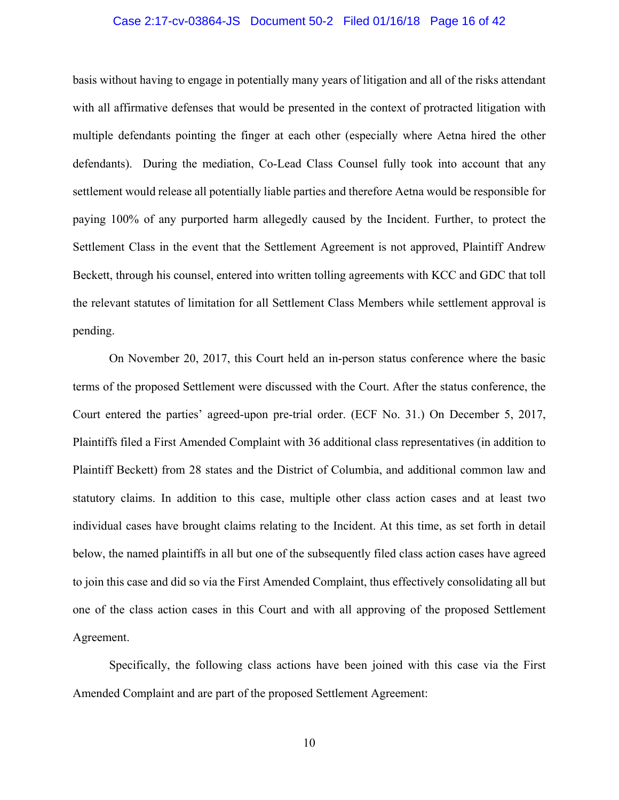## Case 2:17-cv-03864-JS Document 50-2 Filed 01/16/18 Page 16 of 42

basis without having to engage in potentially many years of litigation and all of the risks attendant with all affirmative defenses that would be presented in the context of protracted litigation with multiple defendants pointing the finger at each other (especially where Aetna hired the other defendants). During the mediation, Co-Lead Class Counsel fully took into account that any settlement would release all potentially liable parties and therefore Aetna would be responsible for paying 100% of any purported harm allegedly caused by the Incident. Further, to protect the Settlement Class in the event that the Settlement Agreement is not approved, Plaintiff Andrew Beckett, through his counsel, entered into written tolling agreements with KCC and GDC that toll the relevant statutes of limitation for all Settlement Class Members while settlement approval is pending.

On November 20, 2017, this Court held an in-person status conference where the basic terms of the proposed Settlement were discussed with the Court. After the status conference, the Court entered the parties' agreed-upon pre-trial order. (ECF No. 31.) On December 5, 2017, Plaintiffs filed a First Amended Complaint with 36 additional class representatives (in addition to Plaintiff Beckett) from 28 states and the District of Columbia, and additional common law and statutory claims. In addition to this case, multiple other class action cases and at least two individual cases have brought claims relating to the Incident. At this time, as set forth in detail below, the named plaintiffs in all but one of the subsequently filed class action cases have agreed to join this case and did so via the First Amended Complaint, thus effectively consolidating all but one of the class action cases in this Court and with all approving of the proposed Settlement Agreement.

Specifically, the following class actions have been joined with this case via the First Amended Complaint and are part of the proposed Settlement Agreement: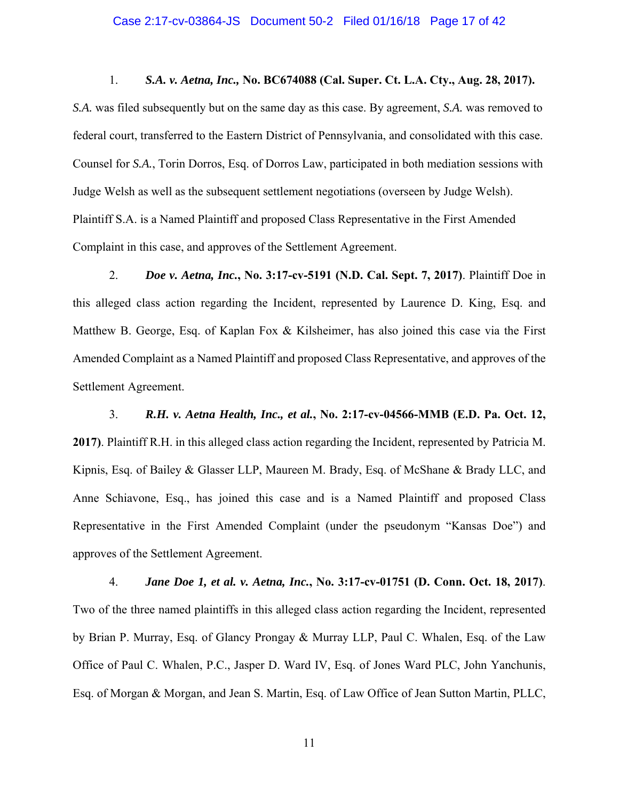## Case 2:17-cv-03864-JS Document 50-2 Filed 01/16/18 Page 17 of 42

1. *S.A. v. Aetna, Inc.,* **No. BC674088 (Cal. Super. Ct. L.A. Cty., Aug. 28, 2017).**

*S.A.* was filed subsequently but on the same day as this case. By agreement, *S.A.* was removed to federal court, transferred to the Eastern District of Pennsylvania, and consolidated with this case. Counsel for *S.A.*, Torin Dorros, Esq. of Dorros Law, participated in both mediation sessions with Judge Welsh as well as the subsequent settlement negotiations (overseen by Judge Welsh). Plaintiff S.A. is a Named Plaintiff and proposed Class Representative in the First Amended Complaint in this case, and approves of the Settlement Agreement.

2. *Doe v. Aetna, Inc.***, No. 3:17-cv-5191 (N.D. Cal. Sept. 7, 2017)**. Plaintiff Doe in this alleged class action regarding the Incident, represented by Laurence D. King, Esq. and Matthew B. George, Esq. of Kaplan Fox & Kilsheimer, has also joined this case via the First Amended Complaint as a Named Plaintiff and proposed Class Representative, and approves of the Settlement Agreement.

 3. *R.H. v. Aetna Health, Inc., et al.***, No. 2:17-cv-04566-MMB (E.D. Pa. Oct. 12, 2017)**. Plaintiff R.H. in this alleged class action regarding the Incident, represented by Patricia M. Kipnis, Esq. of Bailey & Glasser LLP, Maureen M. Brady, Esq. of McShane & Brady LLC, and Anne Schiavone, Esq., has joined this case and is a Named Plaintiff and proposed Class Representative in the First Amended Complaint (under the pseudonym "Kansas Doe") and approves of the Settlement Agreement.

4. *Jane Doe 1, et al. v. Aetna, Inc.***, No. 3:17-cv-01751 (D. Conn. Oct. 18, 2017)**. Two of the three named plaintiffs in this alleged class action regarding the Incident, represented by Brian P. Murray, Esq. of Glancy Prongay & Murray LLP, Paul C. Whalen, Esq. of the Law Office of Paul C. Whalen, P.C., Jasper D. Ward IV, Esq. of Jones Ward PLC, John Yanchunis, Esq. of Morgan & Morgan, and Jean S. Martin, Esq. of Law Office of Jean Sutton Martin, PLLC,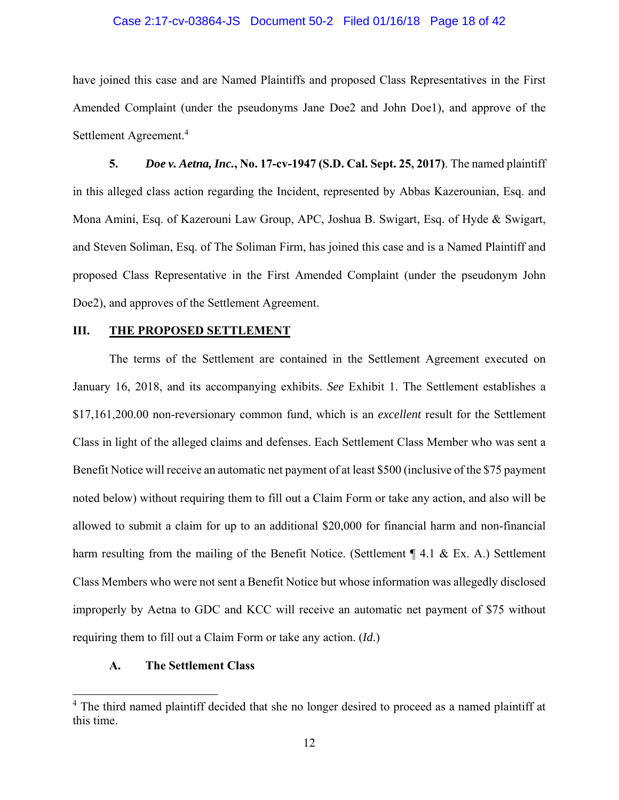## Case 2:17-cv-03864-JS Document 50-2 Filed 01/16/18 Page 18 of 42

have joined this case and are Named Plaintiffs and proposed Class Representatives in the First Amended Complaint (under the pseudonyms Jane Doe2 and John Doe1), and approve of the Settlement Agreement.<sup>4</sup>

**5.** *Doe v. Aetna, Inc.***, No. 17-cv-1947 (S.D. Cal. Sept. 25, 2017)**. The named plaintiff in this alleged class action regarding the Incident, represented by Abbas Kazerounian, Esq. and Mona Amini, Esq. of Kazerouni Law Group, APC, Joshua B. Swigart, Esq. of Hyde & Swigart, and Steven Soliman, Esq. of The Soliman Firm, has joined this case and is a Named Plaintiff and proposed Class Representative in the First Amended Complaint (under the pseudonym John Doe2), and approves of the Settlement Agreement.

## **III. THE PROPOSED SETTLEMENT**

The terms of the Settlement are contained in the Settlement Agreement executed on January 16, 2018, and its accompanying exhibits. *See* Exhibit 1. The Settlement establishes a \$17,161,200.00 non-reversionary common fund, which is an *excellent* result for the Settlement Class in light of the alleged claims and defenses. Each Settlement Class Member who was sent a Benefit Notice will receive an automatic net payment of at least \$500 (inclusive of the \$75 payment noted below) without requiring them to fill out a Claim Form or take any action, and also will be allowed to submit a claim for up to an additional \$20,000 for financial harm and non-financial harm resulting from the mailing of the Benefit Notice. (Settlement ¶ 4.1 & Ex. A.) Settlement Class Members who were not sent a Benefit Notice but whose information was allegedly disclosed improperly by Aetna to GDC and KCC will receive an automatic net payment of \$75 without requiring them to fill out a Claim Form or take any action. (*Id.*)

## **A. The Settlement Class**

 $\overline{a}$ 

<sup>&</sup>lt;sup>4</sup> The third named plaintiff decided that she no longer desired to proceed as a named plaintiff at this time.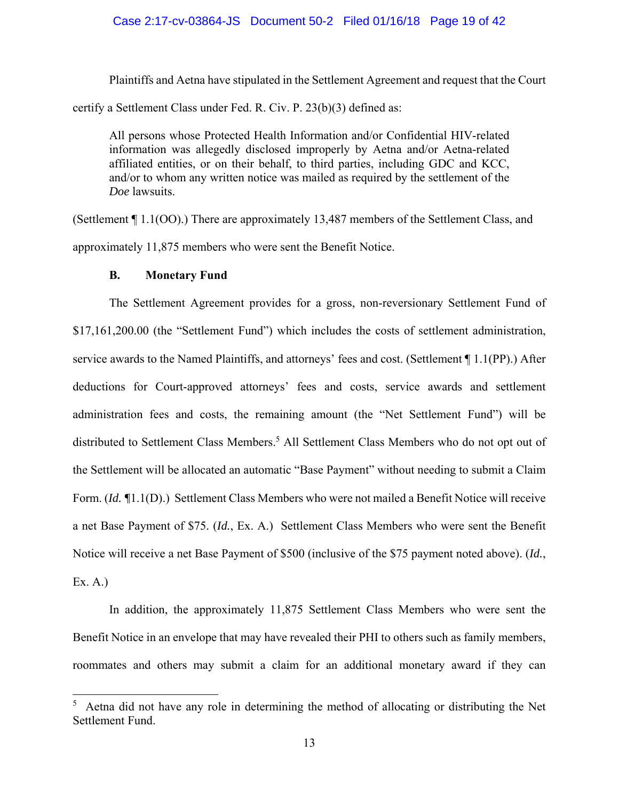## Case 2:17-cv-03864-JS Document 50-2 Filed 01/16/18 Page 19 of 42

Plaintiffs and Aetna have stipulated in the Settlement Agreement and request that the Court certify a Settlement Class under Fed. R. Civ. P. 23(b)(3) defined as:

All persons whose Protected Health Information and/or Confidential HIV-related information was allegedly disclosed improperly by Aetna and/or Aetna-related affiliated entities, or on their behalf, to third parties, including GDC and KCC, and/or to whom any written notice was mailed as required by the settlement of the *Doe* lawsuits.

(Settlement ¶ 1.1(OO).) There are approximately 13,487 members of the Settlement Class, and approximately 11,875 members who were sent the Benefit Notice.

## **B. Monetary Fund**

 $\overline{a}$ 

The Settlement Agreement provides for a gross, non-reversionary Settlement Fund of \$17,161,200.00 (the "Settlement Fund") which includes the costs of settlement administration, service awards to the Named Plaintiffs, and attorneys' fees and cost. (Settlement ¶ 1.1(PP).) After deductions for Court-approved attorneys' fees and costs, service awards and settlement administration fees and costs, the remaining amount (the "Net Settlement Fund") will be distributed to Settlement Class Members.<sup>5</sup> All Settlement Class Members who do not opt out of the Settlement will be allocated an automatic "Base Payment" without needing to submit a Claim Form. (*Id. ¶*1.1(D).) Settlement Class Members who were not mailed a Benefit Notice will receive a net Base Payment of \$75. (*Id.*, Ex. A.) Settlement Class Members who were sent the Benefit Notice will receive a net Base Payment of \$500 (inclusive of the \$75 payment noted above). (*Id.*, Ex. A.)

In addition, the approximately 11,875 Settlement Class Members who were sent the Benefit Notice in an envelope that may have revealed their PHI to others such as family members, roommates and others may submit a claim for an additional monetary award if they can

<sup>&</sup>lt;sup>5</sup> Aetna did not have any role in determining the method of allocating or distributing the Net Settlement Fund.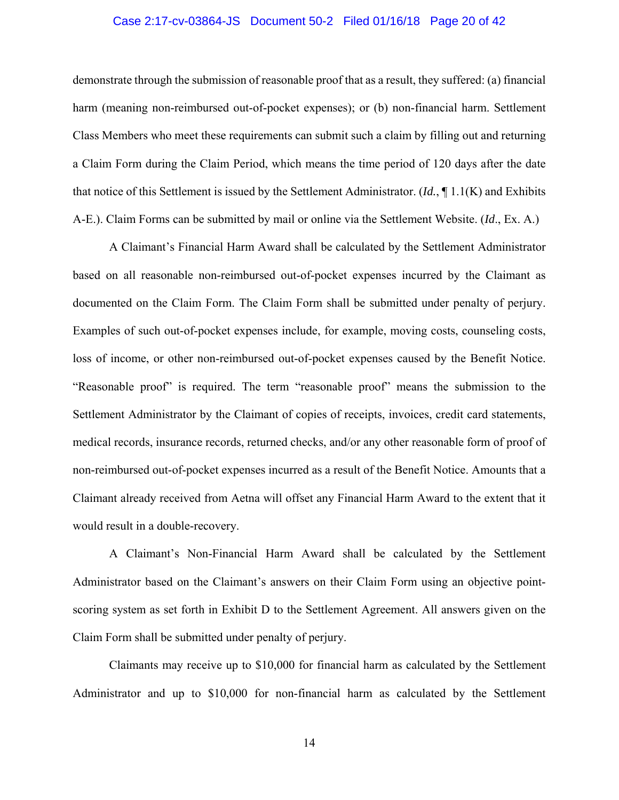## Case 2:17-cv-03864-JS Document 50-2 Filed 01/16/18 Page 20 of 42

demonstrate through the submission of reasonable proof that as a result, they suffered: (a) financial harm (meaning non-reimbursed out-of-pocket expenses); or (b) non-financial harm. Settlement Class Members who meet these requirements can submit such a claim by filling out and returning a Claim Form during the Claim Period, which means the time period of 120 days after the date that notice of this Settlement is issued by the Settlement Administrator. (*Id.*, ¶ 1.1(K) and Exhibits A-E.). Claim Forms can be submitted by mail or online via the Settlement Website. (*Id*., Ex. A.)

A Claimant's Financial Harm Award shall be calculated by the Settlement Administrator based on all reasonable non-reimbursed out-of-pocket expenses incurred by the Claimant as documented on the Claim Form. The Claim Form shall be submitted under penalty of perjury. Examples of such out-of-pocket expenses include, for example, moving costs, counseling costs, loss of income, or other non-reimbursed out-of-pocket expenses caused by the Benefit Notice. "Reasonable proof" is required. The term "reasonable proof" means the submission to the Settlement Administrator by the Claimant of copies of receipts, invoices, credit card statements, medical records, insurance records, returned checks, and/or any other reasonable form of proof of non-reimbursed out-of-pocket expenses incurred as a result of the Benefit Notice. Amounts that a Claimant already received from Aetna will offset any Financial Harm Award to the extent that it would result in a double-recovery.

A Claimant's Non-Financial Harm Award shall be calculated by the Settlement Administrator based on the Claimant's answers on their Claim Form using an objective pointscoring system as set forth in Exhibit D to the Settlement Agreement. All answers given on the Claim Form shall be submitted under penalty of perjury.

Claimants may receive up to \$10,000 for financial harm as calculated by the Settlement Administrator and up to \$10,000 for non-financial harm as calculated by the Settlement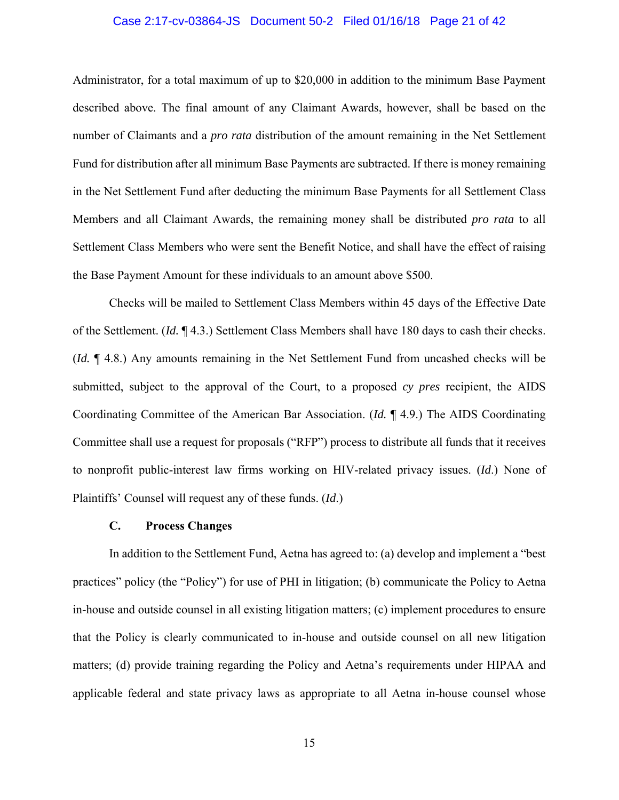## Case 2:17-cv-03864-JS Document 50-2 Filed 01/16/18 Page 21 of 42

Administrator, for a total maximum of up to \$20,000 in addition to the minimum Base Payment described above. The final amount of any Claimant Awards, however, shall be based on the number of Claimants and a *pro rata* distribution of the amount remaining in the Net Settlement Fund for distribution after all minimum Base Payments are subtracted. If there is money remaining in the Net Settlement Fund after deducting the minimum Base Payments for all Settlement Class Members and all Claimant Awards, the remaining money shall be distributed *pro rata* to all Settlement Class Members who were sent the Benefit Notice, and shall have the effect of raising the Base Payment Amount for these individuals to an amount above \$500.

 Checks will be mailed to Settlement Class Members within 45 days of the Effective Date of the Settlement. (*Id.* ¶ 4.3.) Settlement Class Members shall have 180 days to cash their checks. (*Id.* ¶ 4.8.) Any amounts remaining in the Net Settlement Fund from uncashed checks will be submitted, subject to the approval of the Court, to a proposed *cy pres* recipient, the AIDS Coordinating Committee of the American Bar Association. (*Id.* ¶ 4.9.) The AIDS Coordinating Committee shall use a request for proposals ("RFP") process to distribute all funds that it receives to nonprofit public-interest law firms working on HIV-related privacy issues. (*Id*.) None of Plaintiffs' Counsel will request any of these funds. (*Id*.)

#### **C. Process Changes**

In addition to the Settlement Fund, Aetna has agreed to: (a) develop and implement a "best practices" policy (the "Policy") for use of PHI in litigation; (b) communicate the Policy to Aetna in-house and outside counsel in all existing litigation matters; (c) implement procedures to ensure that the Policy is clearly communicated to in-house and outside counsel on all new litigation matters; (d) provide training regarding the Policy and Aetna's requirements under HIPAA and applicable federal and state privacy laws as appropriate to all Aetna in-house counsel whose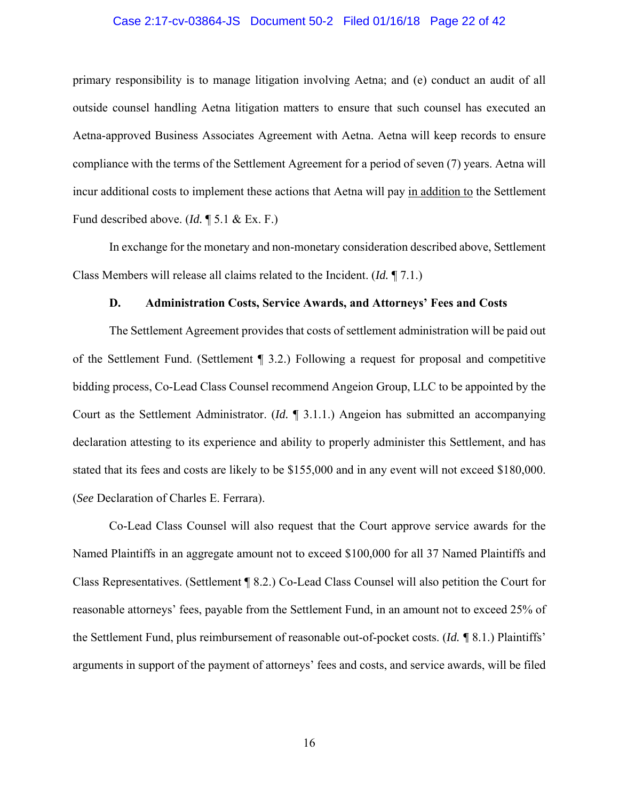## Case 2:17-cv-03864-JS Document 50-2 Filed 01/16/18 Page 22 of 42

primary responsibility is to manage litigation involving Aetna; and (e) conduct an audit of all outside counsel handling Aetna litigation matters to ensure that such counsel has executed an Aetna-approved Business Associates Agreement with Aetna. Aetna will keep records to ensure compliance with the terms of the Settlement Agreement for a period of seven (7) years. Aetna will incur additional costs to implement these actions that Aetna will pay in addition to the Settlement Fund described above. (*Id.* ¶ 5.1 & Ex. F.)

In exchange for the monetary and non-monetary consideration described above, Settlement Class Members will release all claims related to the Incident. (*Id.* ¶ 7.1.)

## **D. Administration Costs, Service Awards, and Attorneys' Fees and Costs**

The Settlement Agreement provides that costs of settlement administration will be paid out of the Settlement Fund. (Settlement ¶ 3.2.) Following a request for proposal and competitive bidding process, Co-Lead Class Counsel recommend Angeion Group, LLC to be appointed by the Court as the Settlement Administrator. (*Id.* ¶ 3.1.1.) Angeion has submitted an accompanying declaration attesting to its experience and ability to properly administer this Settlement, and has stated that its fees and costs are likely to be \$155,000 and in any event will not exceed \$180,000. (*See* Declaration of Charles E. Ferrara).

Co-Lead Class Counsel will also request that the Court approve service awards for the Named Plaintiffs in an aggregate amount not to exceed \$100,000 for all 37 Named Plaintiffs and Class Representatives. (Settlement ¶ 8.2.) Co-Lead Class Counsel will also petition the Court for reasonable attorneys' fees, payable from the Settlement Fund, in an amount not to exceed 25% of the Settlement Fund, plus reimbursement of reasonable out-of-pocket costs. (*Id. ¶* 8.1.) Plaintiffs' arguments in support of the payment of attorneys' fees and costs, and service awards, will be filed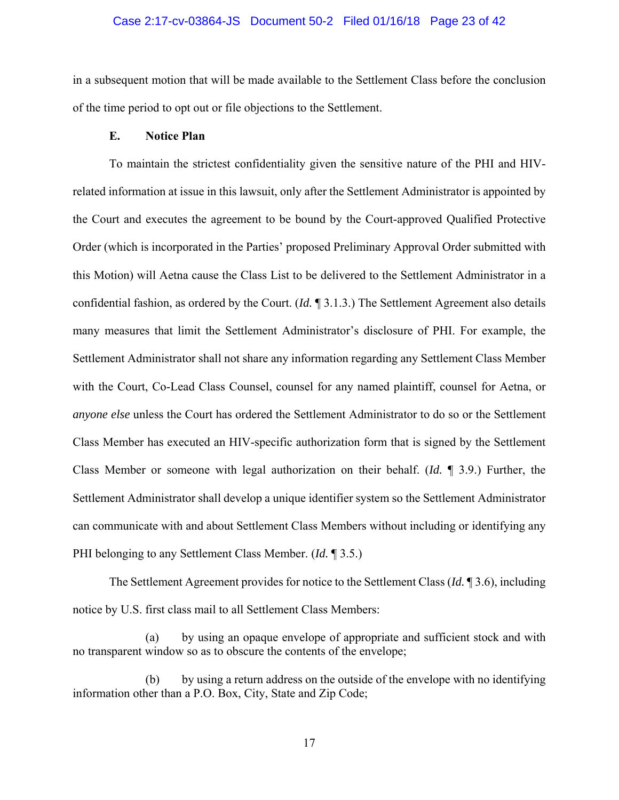#### Case 2:17-cv-03864-JS Document 50-2 Filed 01/16/18 Page 23 of 42

in a subsequent motion that will be made available to the Settlement Class before the conclusion of the time period to opt out or file objections to the Settlement.

## **E. Notice Plan**

To maintain the strictest confidentiality given the sensitive nature of the PHI and HIVrelated information at issue in this lawsuit, only after the Settlement Administrator is appointed by the Court and executes the agreement to be bound by the Court-approved Qualified Protective Order (which is incorporated in the Parties' proposed Preliminary Approval Order submitted with this Motion) will Aetna cause the Class List to be delivered to the Settlement Administrator in a confidential fashion, as ordered by the Court. (*Id.* ¶ 3.1.3.) The Settlement Agreement also details many measures that limit the Settlement Administrator's disclosure of PHI. For example, the Settlement Administrator shall not share any information regarding any Settlement Class Member with the Court, Co-Lead Class Counsel, counsel for any named plaintiff, counsel for Aetna, or *anyone else* unless the Court has ordered the Settlement Administrator to do so or the Settlement Class Member has executed an HIV-specific authorization form that is signed by the Settlement Class Member or someone with legal authorization on their behalf. (*Id.* ¶ 3.9.) Further, the Settlement Administrator shall develop a unique identifier system so the Settlement Administrator can communicate with and about Settlement Class Members without including or identifying any PHI belonging to any Settlement Class Member. (*Id.* ¶ 3.5.)

 The Settlement Agreement provides for notice to the Settlement Class (*Id.* ¶ 3.6), including notice by U.S. first class mail to all Settlement Class Members:

(a) by using an opaque envelope of appropriate and sufficient stock and with no transparent window so as to obscure the contents of the envelope;

(b) by using a return address on the outside of the envelope with no identifying information other than a P.O. Box, City, State and Zip Code;

17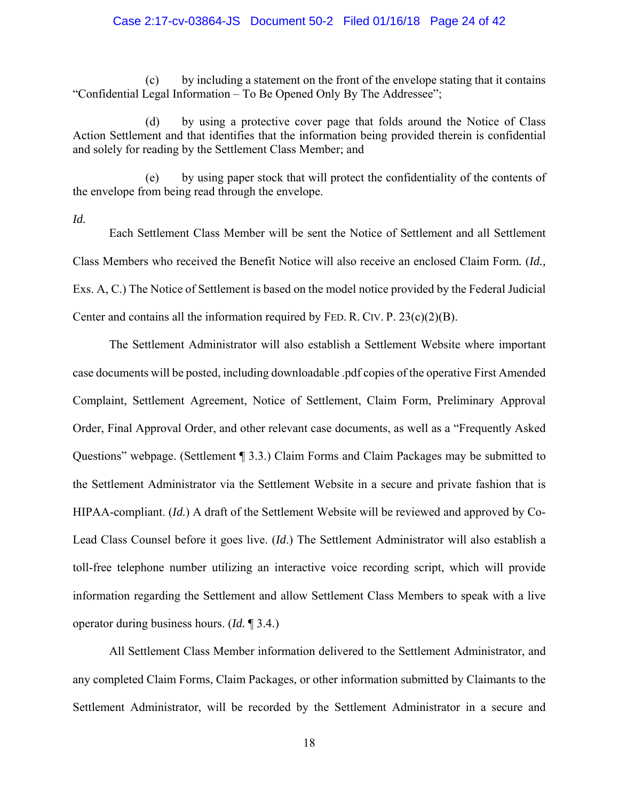## Case 2:17-cv-03864-JS Document 50-2 Filed 01/16/18 Page 24 of 42

(c) by including a statement on the front of the envelope stating that it contains "Confidential Legal Information – To Be Opened Only By The Addressee";

(d) by using a protective cover page that folds around the Notice of Class Action Settlement and that identifies that the information being provided therein is confidential and solely for reading by the Settlement Class Member; and

(e) by using paper stock that will protect the confidentiality of the contents of the envelope from being read through the envelope.

*Id.*

Each Settlement Class Member will be sent the Notice of Settlement and all Settlement Class Members who received the Benefit Notice will also receive an enclosed Claim Form*.* (*Id.,* Exs. A, C.) The Notice of Settlement is based on the model notice provided by the Federal Judicial Center and contains all the information required by FED. R. CIV. P.  $23(c)(2)(B)$ .

The Settlement Administrator will also establish a Settlement Website where important case documents will be posted, including downloadable .pdf copies of the operative First Amended Complaint, Settlement Agreement, Notice of Settlement, Claim Form, Preliminary Approval Order, Final Approval Order, and other relevant case documents, as well as a "Frequently Asked Questions" webpage. (Settlement ¶ 3.3.) Claim Forms and Claim Packages may be submitted to the Settlement Administrator via the Settlement Website in a secure and private fashion that is HIPAA-compliant. (*Id.*) A draft of the Settlement Website will be reviewed and approved by Co-Lead Class Counsel before it goes live. (*Id*.) The Settlement Administrator will also establish a toll-free telephone number utilizing an interactive voice recording script, which will provide information regarding the Settlement and allow Settlement Class Members to speak with a live operator during business hours. (*Id.* ¶ 3.4.)

All Settlement Class Member information delivered to the Settlement Administrator, and any completed Claim Forms, Claim Packages, or other information submitted by Claimants to the Settlement Administrator, will be recorded by the Settlement Administrator in a secure and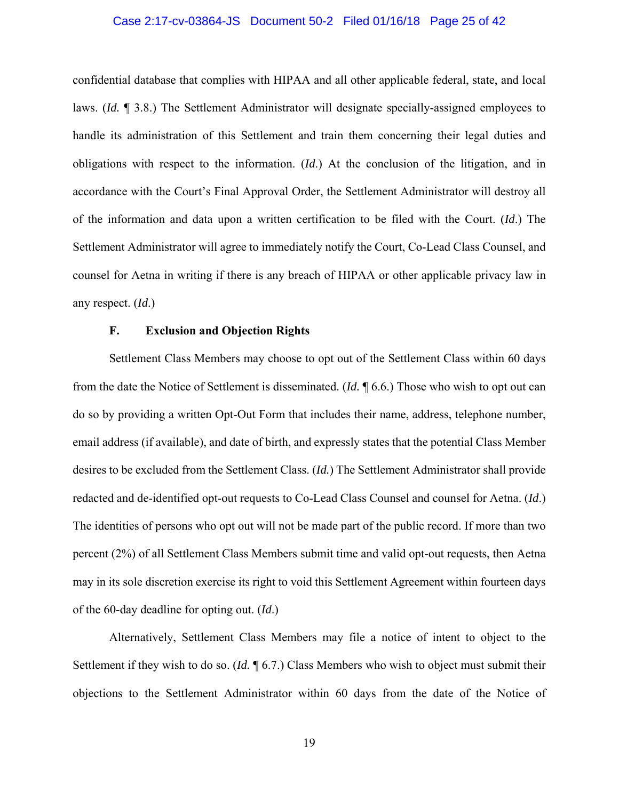## Case 2:17-cv-03864-JS Document 50-2 Filed 01/16/18 Page 25 of 42

confidential database that complies with HIPAA and all other applicable federal, state, and local laws. (*Id.* ¶ 3.8.) The Settlement Administrator will designate specially-assigned employees to handle its administration of this Settlement and train them concerning their legal duties and obligations with respect to the information. (*Id*.) At the conclusion of the litigation, and in accordance with the Court's Final Approval Order, the Settlement Administrator will destroy all of the information and data upon a written certification to be filed with the Court. (*Id*.) The Settlement Administrator will agree to immediately notify the Court, Co-Lead Class Counsel, and counsel for Aetna in writing if there is any breach of HIPAA or other applicable privacy law in any respect. (*Id*.)

## **F. Exclusion and Objection Rights**

Settlement Class Members may choose to opt out of the Settlement Class within 60 days from the date the Notice of Settlement is disseminated. (*Id.* ¶ 6.6.) Those who wish to opt out can do so by providing a written Opt-Out Form that includes their name, address, telephone number, email address (if available), and date of birth, and expressly states that the potential Class Member desires to be excluded from the Settlement Class. (*Id.*) The Settlement Administrator shall provide redacted and de-identified opt-out requests to Co-Lead Class Counsel and counsel for Aetna. (*Id*.) The identities of persons who opt out will not be made part of the public record. If more than two percent (2%) of all Settlement Class Members submit time and valid opt-out requests, then Aetna may in its sole discretion exercise its right to void this Settlement Agreement within fourteen days of the 60-day deadline for opting out. (*Id*.)

Alternatively, Settlement Class Members may file a notice of intent to object to the Settlement if they wish to do so. (*Id.* ¶ 6.7.) Class Members who wish to object must submit their objections to the Settlement Administrator within 60 days from the date of the Notice of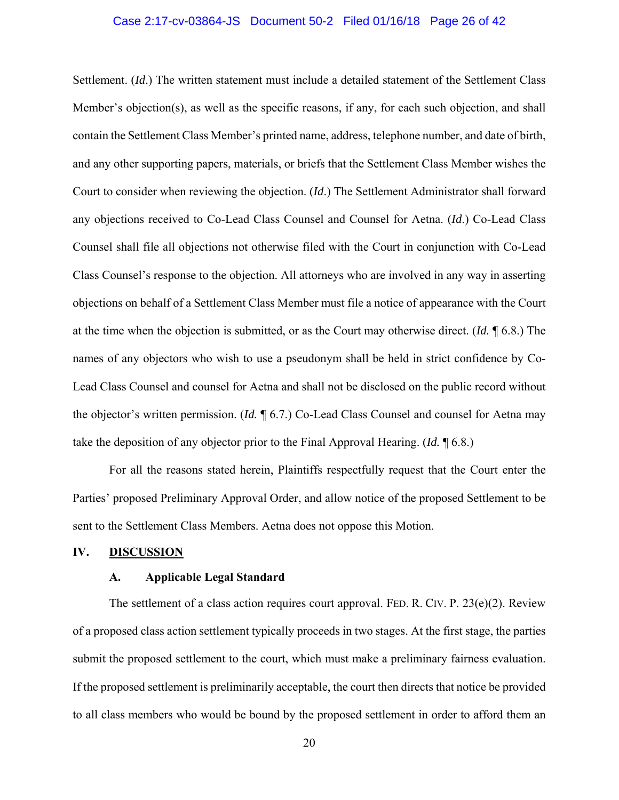#### Case 2:17-cv-03864-JS Document 50-2 Filed 01/16/18 Page 26 of 42

Settlement. (*Id*.) The written statement must include a detailed statement of the Settlement Class Member's objection(s), as well as the specific reasons, if any, for each such objection, and shall contain the Settlement Class Member's printed name, address, telephone number, and date of birth, and any other supporting papers, materials, or briefs that the Settlement Class Member wishes the Court to consider when reviewing the objection. (*Id*.) The Settlement Administrator shall forward any objections received to Co-Lead Class Counsel and Counsel for Aetna. (*Id*.) Co-Lead Class Counsel shall file all objections not otherwise filed with the Court in conjunction with Co-Lead Class Counsel's response to the objection. All attorneys who are involved in any way in asserting objections on behalf of a Settlement Class Member must file a notice of appearance with the Court at the time when the objection is submitted, or as the Court may otherwise direct. (*Id.* ¶ 6.8.) The names of any objectors who wish to use a pseudonym shall be held in strict confidence by Co-Lead Class Counsel and counsel for Aetna and shall not be disclosed on the public record without the objector's written permission. (*Id.* ¶ 6.7.) Co-Lead Class Counsel and counsel for Aetna may take the deposition of any objector prior to the Final Approval Hearing. (*Id.* ¶ 6.8.)

For all the reasons stated herein, Plaintiffs respectfully request that the Court enter the Parties' proposed Preliminary Approval Order, and allow notice of the proposed Settlement to be sent to the Settlement Class Members. Aetna does not oppose this Motion.

## **IV. DISCUSSION**

## **A. Applicable Legal Standard**

The settlement of a class action requires court approval. FED. R. CIV. P. 23(e)(2). Review of a proposed class action settlement typically proceeds in two stages. At the first stage, the parties submit the proposed settlement to the court, which must make a preliminary fairness evaluation. If the proposed settlement is preliminarily acceptable, the court then directs that notice be provided to all class members who would be bound by the proposed settlement in order to afford them an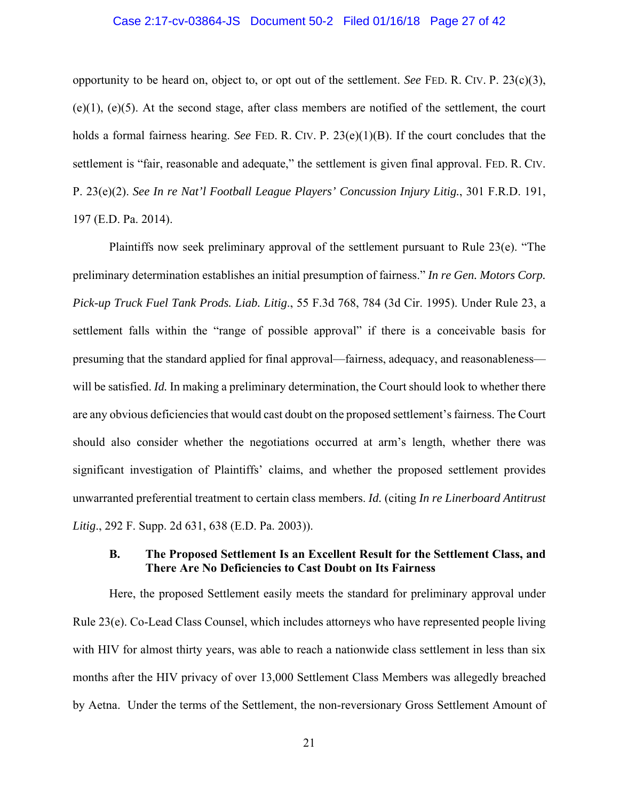## Case 2:17-cv-03864-JS Document 50-2 Filed 01/16/18 Page 27 of 42

opportunity to be heard on, object to, or opt out of the settlement. *See* FED. R. CIV. P. 23(c)(3), (e)(1), (e)(5). At the second stage, after class members are notified of the settlement, the court holds a formal fairness hearing. *See* FED. R. CIV. P. 23(e)(1)(B). If the court concludes that the settlement is "fair, reasonable and adequate," the settlement is given final approval. FED. R. CIV. P. 23(e)(2). *See In re Nat'l Football League Players' Concussion Injury Litig.*, 301 F.R.D. 191, 197 (E.D. Pa. 2014).

Plaintiffs now seek preliminary approval of the settlement pursuant to Rule 23(e). "The preliminary determination establishes an initial presumption of fairness." *In re Gen. Motors Corp. Pick-up Truck Fuel Tank Prods. Liab. Litig*., 55 F.3d 768, 784 (3d Cir. 1995). Under Rule 23, a settlement falls within the "range of possible approval" if there is a conceivable basis for presuming that the standard applied for final approval—fairness, adequacy, and reasonableness will be satisfied. *Id.* In making a preliminary determination, the Court should look to whether there are any obvious deficiencies that would cast doubt on the proposed settlement's fairness. The Court should also consider whether the negotiations occurred at arm's length, whether there was significant investigation of Plaintiffs' claims, and whether the proposed settlement provides unwarranted preferential treatment to certain class members. *Id.* (citing *In re Linerboard Antitrust Litig*., 292 F. Supp. 2d 631, 638 (E.D. Pa. 2003)).

## **B. The Proposed Settlement Is an Excellent Result for the Settlement Class, and There Are No Deficiencies to Cast Doubt on Its Fairness**

Here, the proposed Settlement easily meets the standard for preliminary approval under Rule 23(e). Co-Lead Class Counsel, which includes attorneys who have represented people living with HIV for almost thirty years, was able to reach a nationwide class settlement in less than six months after the HIV privacy of over 13,000 Settlement Class Members was allegedly breached by Aetna. Under the terms of the Settlement, the non-reversionary Gross Settlement Amount of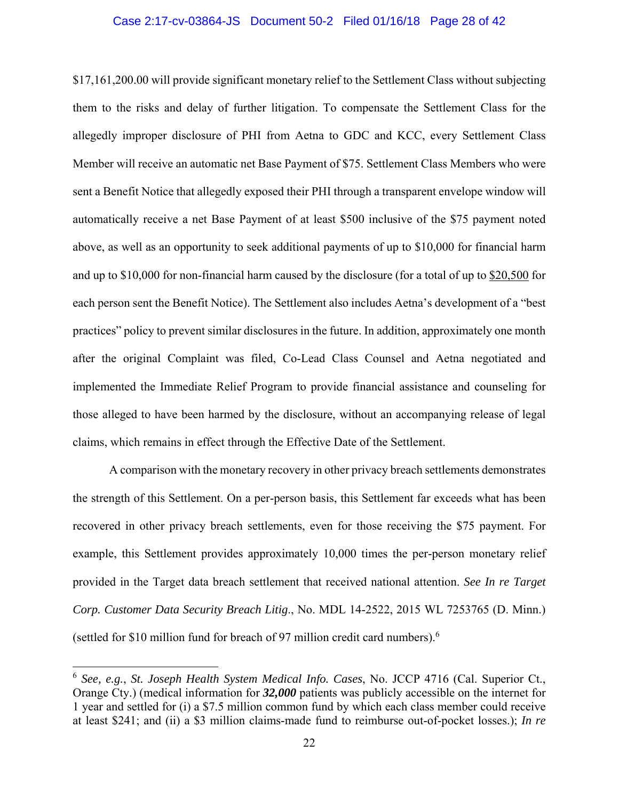#### Case 2:17-cv-03864-JS Document 50-2 Filed 01/16/18 Page 28 of 42

\$17,161,200.00 will provide significant monetary relief to the Settlement Class without subjecting them to the risks and delay of further litigation. To compensate the Settlement Class for the allegedly improper disclosure of PHI from Aetna to GDC and KCC, every Settlement Class Member will receive an automatic net Base Payment of \$75. Settlement Class Members who were sent a Benefit Notice that allegedly exposed their PHI through a transparent envelope window will automatically receive a net Base Payment of at least \$500 inclusive of the \$75 payment noted above, as well as an opportunity to seek additional payments of up to \$10,000 for financial harm and up to \$10,000 for non-financial harm caused by the disclosure (for a total of up to \$20,500 for each person sent the Benefit Notice). The Settlement also includes Aetna's development of a "best practices" policy to prevent similar disclosures in the future. In addition, approximately one month after the original Complaint was filed, Co-Lead Class Counsel and Aetna negotiated and implemented the Immediate Relief Program to provide financial assistance and counseling for those alleged to have been harmed by the disclosure, without an accompanying release of legal claims, which remains in effect through the Effective Date of the Settlement.

A comparison with the monetary recovery in other privacy breach settlements demonstrates the strength of this Settlement. On a per-person basis, this Settlement far exceeds what has been recovered in other privacy breach settlements, even for those receiving the \$75 payment. For example, this Settlement provides approximately 10,000 times the per-person monetary relief provided in the Target data breach settlement that received national attention. *See In re Target Corp. Customer Data Security Breach Litig*., No. MDL 14-2522, 2015 WL 7253765 (D. Minn.) (settled for \$10 million fund for breach of 97 million credit card numbers).6

 $\overline{a}$ 

<sup>6</sup> *See, e.g.*, *St. Joseph Health System Medical Info. Cases*, No. JCCP 4716 (Cal. Superior Ct., Orange Cty.) (medical information for *32,000* patients was publicly accessible on the internet for 1 year and settled for (i) a \$7.5 million common fund by which each class member could receive at least \$241; and (ii) a \$3 million claims-made fund to reimburse out-of-pocket losses.); *In re*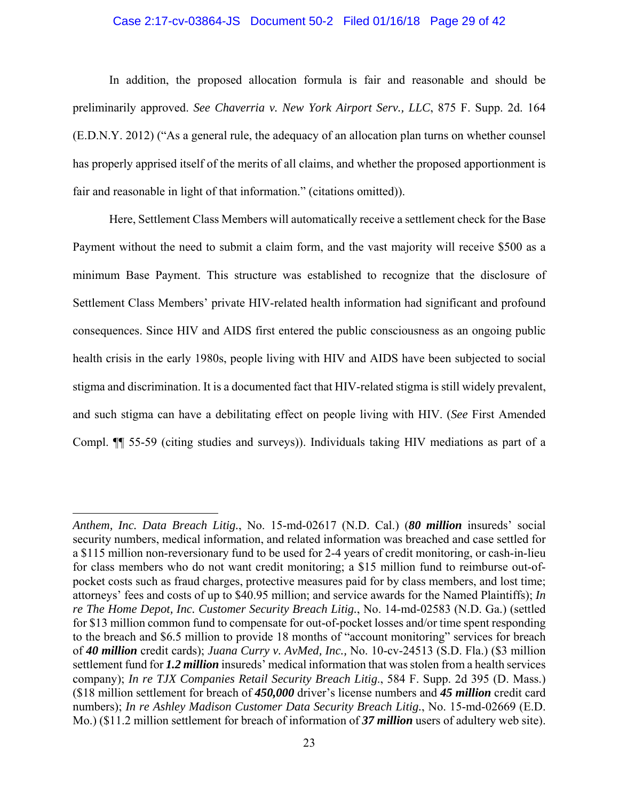## Case 2:17-cv-03864-JS Document 50-2 Filed 01/16/18 Page 29 of 42

In addition, the proposed allocation formula is fair and reasonable and should be preliminarily approved. *See Chaverria v. New York Airport Serv., LLC*, 875 F. Supp. 2d. 164 (E.D.N.Y. 2012) ("As a general rule, the adequacy of an allocation plan turns on whether counsel has properly apprised itself of the merits of all claims, and whether the proposed apportionment is fair and reasonable in light of that information." (citations omitted)).

Here, Settlement Class Members will automatically receive a settlement check for the Base Payment without the need to submit a claim form, and the vast majority will receive \$500 as a minimum Base Payment. This structure was established to recognize that the disclosure of Settlement Class Members' private HIV-related health information had significant and profound consequences. Since HIV and AIDS first entered the public consciousness as an ongoing public health crisis in the early 1980s, people living with HIV and AIDS have been subjected to social stigma and discrimination. It is a documented fact that HIV-related stigma is still widely prevalent, and such stigma can have a debilitating effect on people living with HIV. (*See* First Amended Compl. ¶¶ 55-59 (citing studies and surveys)). Individuals taking HIV mediations as part of a

 $\overline{a}$ 

*Anthem, Inc. Data Breach Litig.*, No. 15-md-02617 (N.D. Cal.) (*80 million* insureds' social security numbers, medical information, and related information was breached and case settled for a \$115 million non-reversionary fund to be used for 2-4 years of credit monitoring, or cash-in-lieu for class members who do not want credit monitoring; a \$15 million fund to reimburse out-ofpocket costs such as fraud charges, protective measures paid for by class members, and lost time; attorneys' fees and costs of up to \$40.95 million; and service awards for the Named Plaintiffs); *In re The Home Depot, Inc. Customer Security Breach Litig.*, No. 14-md-02583 (N.D. Ga.) (settled for \$13 million common fund to compensate for out-of-pocket losses and/or time spent responding to the breach and \$6.5 million to provide 18 months of "account monitoring" services for breach of *40 million* credit cards); *Juana Curry v. AvMed, Inc.,* No. 10-cv-24513 (S.D. Fla.) (\$3 million settlement fund for *1.2 million* insureds' medical information that was stolen from a health services company); *In re TJX Companies Retail Security Breach Litig*., 584 F. Supp. 2d 395 (D. Mass.) (\$18 million settlement for breach of *450,000* driver's license numbers and *45 million* credit card numbers); *In re Ashley Madison Customer Data Security Breach Litig.*, No. 15-md-02669 (E.D. Mo.) (\$11.2 million settlement for breach of information of *37 million* users of adultery web site).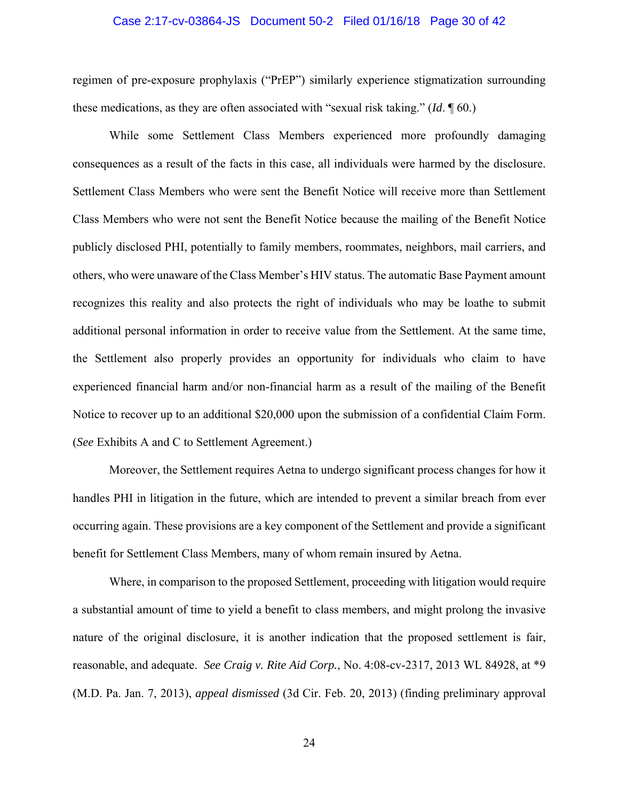## Case 2:17-cv-03864-JS Document 50-2 Filed 01/16/18 Page 30 of 42

regimen of pre-exposure prophylaxis ("PrEP") similarly experience stigmatization surrounding these medications, as they are often associated with "sexual risk taking." (*Id*. ¶ 60.)

While some Settlement Class Members experienced more profoundly damaging consequences as a result of the facts in this case, all individuals were harmed by the disclosure. Settlement Class Members who were sent the Benefit Notice will receive more than Settlement Class Members who were not sent the Benefit Notice because the mailing of the Benefit Notice publicly disclosed PHI, potentially to family members, roommates, neighbors, mail carriers, and others, who were unaware of the Class Member's HIV status. The automatic Base Payment amount recognizes this reality and also protects the right of individuals who may be loathe to submit additional personal information in order to receive value from the Settlement. At the same time, the Settlement also properly provides an opportunity for individuals who claim to have experienced financial harm and/or non-financial harm as a result of the mailing of the Benefit Notice to recover up to an additional \$20,000 upon the submission of a confidential Claim Form. (*See* Exhibits A and C to Settlement Agreement.)

Moreover, the Settlement requires Aetna to undergo significant process changes for how it handles PHI in litigation in the future, which are intended to prevent a similar breach from ever occurring again. These provisions are a key component of the Settlement and provide a significant benefit for Settlement Class Members, many of whom remain insured by Aetna.

Where, in comparison to the proposed Settlement, proceeding with litigation would require a substantial amount of time to yield a benefit to class members, and might prolong the invasive nature of the original disclosure, it is another indication that the proposed settlement is fair, reasonable, and adequate. *See Craig v. Rite Aid Corp.*, No. 4:08-cv-2317, 2013 WL 84928, at \*9 (M.D. Pa. Jan. 7, 2013), *appeal dismissed* (3d Cir. Feb. 20, 2013) (finding preliminary approval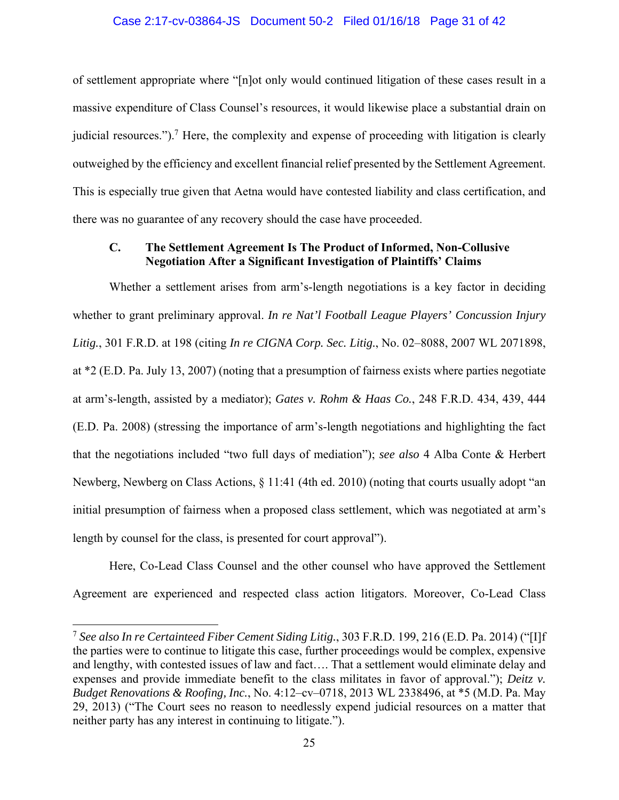## Case 2:17-cv-03864-JS Document 50-2 Filed 01/16/18 Page 31 of 42

of settlement appropriate where "[n]ot only would continued litigation of these cases result in a massive expenditure of Class Counsel's resources, it would likewise place a substantial drain on judicial resources.").<sup>7</sup> Here, the complexity and expense of proceeding with litigation is clearly outweighed by the efficiency and excellent financial relief presented by the Settlement Agreement. This is especially true given that Aetna would have contested liability and class certification, and there was no guarantee of any recovery should the case have proceeded.

## **C. The Settlement Agreement Is The Product of Informed, Non-Collusive Negotiation After a Significant Investigation of Plaintiffs' Claims**

Whether a settlement arises from arm's-length negotiations is a key factor in deciding whether to grant preliminary approval. *In re Nat'l Football League Players' Concussion Injury Litig.*, 301 F.R.D. at 198 (citing *In re CIGNA Corp. Sec. Litig.*, No. 02–8088, 2007 WL 2071898, at \*2 (E.D. Pa. July 13, 2007) (noting that a presumption of fairness exists where parties negotiate at arm's-length, assisted by a mediator); *Gates v. Rohm & Haas Co.*, 248 F.R.D. 434, 439, 444 (E.D. Pa. 2008) (stressing the importance of arm's-length negotiations and highlighting the fact that the negotiations included "two full days of mediation"); *see also* 4 Alba Conte & Herbert Newberg, Newberg on Class Actions, § 11:41 (4th ed. 2010) (noting that courts usually adopt "an initial presumption of fairness when a proposed class settlement, which was negotiated at arm's length by counsel for the class, is presented for court approval").

Here, Co-Lead Class Counsel and the other counsel who have approved the Settlement Agreement are experienced and respected class action litigators. Moreover, Co-Lead Class

 $\overline{a}$ 

<sup>7</sup> *See also In re Certainteed Fiber Cement Siding Litig.*, 303 F.R.D. 199, 216 (E.D. Pa. 2014) ("[I]f the parties were to continue to litigate this case, further proceedings would be complex, expensive and lengthy, with contested issues of law and fact…. That a settlement would eliminate delay and expenses and provide immediate benefit to the class militates in favor of approval."); *Deitz v. Budget Renovations & Roofing, Inc.*, No. 4:12–cv–0718, 2013 WL 2338496, at \*5 (M.D. Pa. May 29, 2013) ("The Court sees no reason to needlessly expend judicial resources on a matter that neither party has any interest in continuing to litigate.").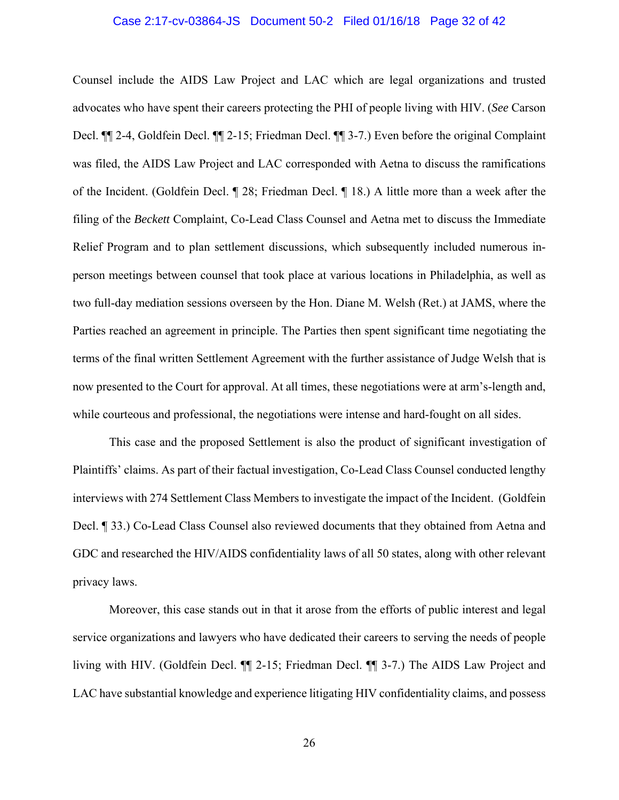## Case 2:17-cv-03864-JS Document 50-2 Filed 01/16/18 Page 32 of 42

Counsel include the AIDS Law Project and LAC which are legal organizations and trusted advocates who have spent their careers protecting the PHI of people living with HIV. (*See* Carson Decl. ¶¶ 2-4, Goldfein Decl. ¶¶ 2-15; Friedman Decl. ¶¶ 3-7.) Even before the original Complaint was filed, the AIDS Law Project and LAC corresponded with Aetna to discuss the ramifications of the Incident. (Goldfein Decl. ¶ 28; Friedman Decl. ¶ 18.) A little more than a week after the filing of the *Beckett* Complaint, Co-Lead Class Counsel and Aetna met to discuss the Immediate Relief Program and to plan settlement discussions, which subsequently included numerous inperson meetings between counsel that took place at various locations in Philadelphia, as well as two full-day mediation sessions overseen by the Hon. Diane M. Welsh (Ret.) at JAMS, where the Parties reached an agreement in principle. The Parties then spent significant time negotiating the terms of the final written Settlement Agreement with the further assistance of Judge Welsh that is now presented to the Court for approval. At all times, these negotiations were at arm's-length and, while courteous and professional, the negotiations were intense and hard-fought on all sides.

This case and the proposed Settlement is also the product of significant investigation of Plaintiffs' claims. As part of their factual investigation, Co-Lead Class Counsel conducted lengthy interviews with 274 Settlement Class Members to investigate the impact of the Incident. (Goldfein Decl. ¶ 33.) Co-Lead Class Counsel also reviewed documents that they obtained from Aetna and GDC and researched the HIV/AIDS confidentiality laws of all 50 states, along with other relevant privacy laws.

Moreover, this case stands out in that it arose from the efforts of public interest and legal service organizations and lawyers who have dedicated their careers to serving the needs of people living with HIV. (Goldfein Decl. ¶¶ 2-15; Friedman Decl. ¶¶ 3-7.) The AIDS Law Project and LAC have substantial knowledge and experience litigating HIV confidentiality claims, and possess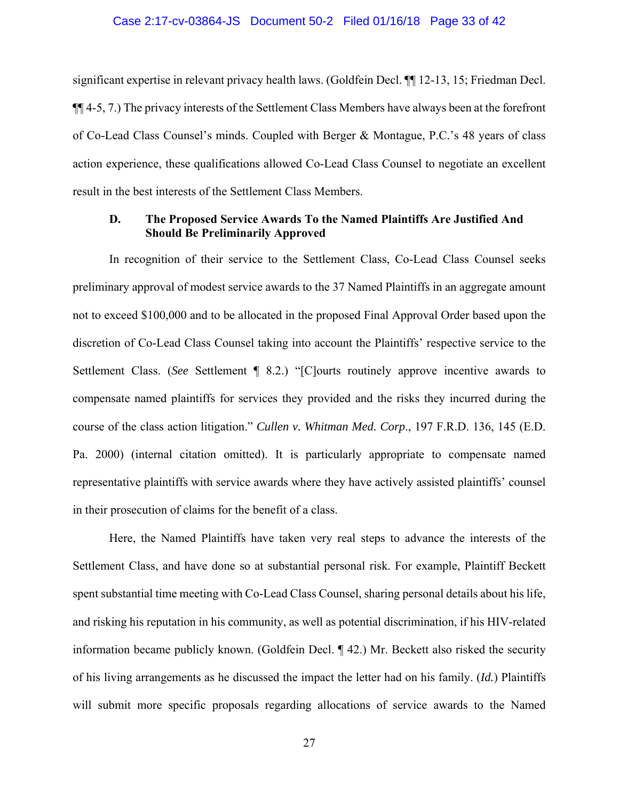## Case 2:17-cv-03864-JS Document 50-2 Filed 01/16/18 Page 33 of 42

significant expertise in relevant privacy health laws. (Goldfein Decl. ¶¶ 12-13, 15; Friedman Decl. ¶¶ 4-5, 7.) The privacy interests of the Settlement Class Members have always been at the forefront of Co-Lead Class Counsel's minds. Coupled with Berger & Montague, P.C.'s 48 years of class action experience, these qualifications allowed Co-Lead Class Counsel to negotiate an excellent result in the best interests of the Settlement Class Members.

## **D. The Proposed Service Awards To the Named Plaintiffs Are Justified And Should Be Preliminarily Approved**

In recognition of their service to the Settlement Class, Co-Lead Class Counsel seeks preliminary approval of modest service awards to the 37 Named Plaintiffs in an aggregate amount not to exceed \$100,000 and to be allocated in the proposed Final Approval Order based upon the discretion of Co-Lead Class Counsel taking into account the Plaintiffs' respective service to the Settlement Class. (*See* Settlement ¶ 8.2.) "[C]ourts routinely approve incentive awards to compensate named plaintiffs for services they provided and the risks they incurred during the course of the class action litigation." *Cullen v. Whitman Med. Corp*., 197 F.R.D. 136, 145 (E.D. Pa. 2000) (internal citation omitted). It is particularly appropriate to compensate named representative plaintiffs with service awards where they have actively assisted plaintiffs' counsel in their prosecution of claims for the benefit of a class.

Here, the Named Plaintiffs have taken very real steps to advance the interests of the Settlement Class, and have done so at substantial personal risk. For example, Plaintiff Beckett spent substantial time meeting with Co-Lead Class Counsel, sharing personal details about his life, and risking his reputation in his community, as well as potential discrimination, if his HIV-related information became publicly known. (Goldfein Decl. ¶ 42.) Mr. Beckett also risked the security of his living arrangements as he discussed the impact the letter had on his family. (*Id.*) Plaintiffs will submit more specific proposals regarding allocations of service awards to the Named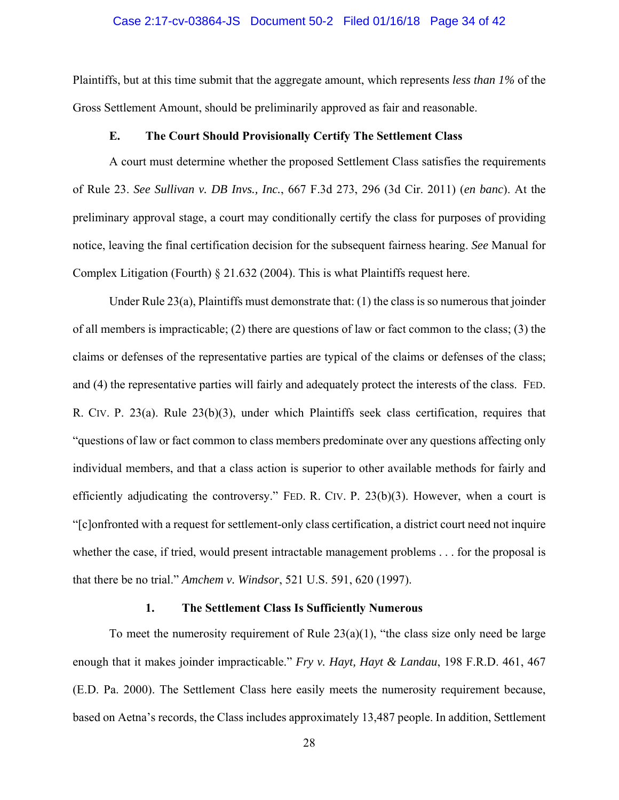## Case 2:17-cv-03864-JS Document 50-2 Filed 01/16/18 Page 34 of 42

Plaintiffs, but at this time submit that the aggregate amount, which represents *less than 1%* of the Gross Settlement Amount, should be preliminarily approved as fair and reasonable.

## **E. The Court Should Provisionally Certify The Settlement Class**

A court must determine whether the proposed Settlement Class satisfies the requirements of Rule 23. *See Sullivan v. DB Invs., Inc.*, 667 F.3d 273, 296 (3d Cir. 2011) (*en banc*). At the preliminary approval stage, a court may conditionally certify the class for purposes of providing notice, leaving the final certification decision for the subsequent fairness hearing. *See* Manual for Complex Litigation (Fourth) § 21.632 (2004). This is what Plaintiffs request here.

Under Rule 23(a), Plaintiffs must demonstrate that: (1) the class is so numerous that joinder of all members is impracticable; (2) there are questions of law or fact common to the class; (3) the claims or defenses of the representative parties are typical of the claims or defenses of the class; and (4) the representative parties will fairly and adequately protect the interests of the class. FED. R. CIV. P. 23(a). Rule 23(b)(3), under which Plaintiffs seek class certification, requires that "questions of law or fact common to class members predominate over any questions affecting only individual members, and that a class action is superior to other available methods for fairly and efficiently adjudicating the controversy." FED. R. CIV. P. 23(b)(3). However, when a court is "[c]onfronted with a request for settlement-only class certification, a district court need not inquire whether the case, if tried, would present intractable management problems . . . for the proposal is that there be no trial." *Amchem v. Windsor*, 521 U.S. 591, 620 (1997).

## **1. The Settlement Class Is Sufficiently Numerous**

To meet the numerosity requirement of Rule  $23(a)(1)$ , "the class size only need be large enough that it makes joinder impracticable." *Fry v. Hayt, Hayt & Landau*, 198 F.R.D. 461, 467 (E.D. Pa. 2000). The Settlement Class here easily meets the numerosity requirement because, based on Aetna's records, the Class includes approximately 13,487 people. In addition, Settlement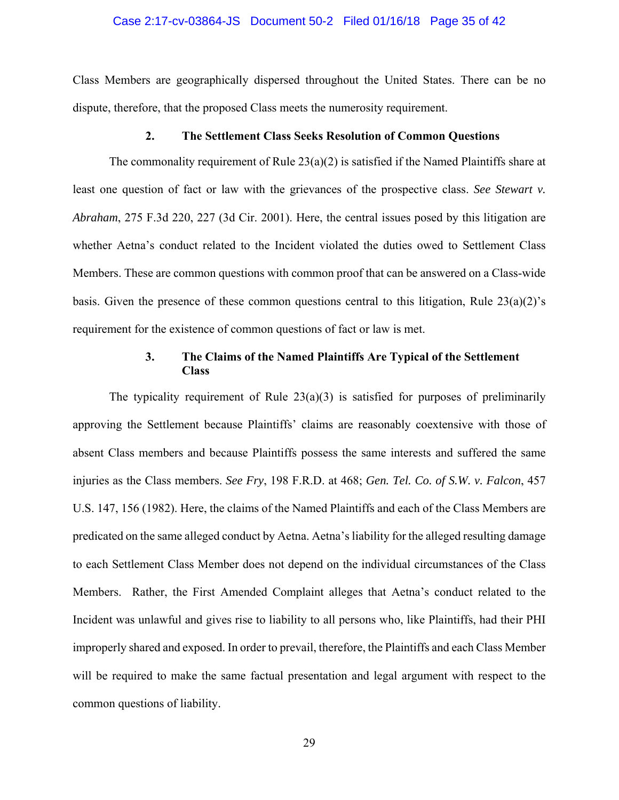## Case 2:17-cv-03864-JS Document 50-2 Filed 01/16/18 Page 35 of 42

Class Members are geographically dispersed throughout the United States. There can be no dispute, therefore, that the proposed Class meets the numerosity requirement.

## **2. The Settlement Class Seeks Resolution of Common Questions**

The commonality requirement of Rule  $23(a)(2)$  is satisfied if the Named Plaintiffs share at least one question of fact or law with the grievances of the prospective class. *See Stewart v. Abraham*, 275 F.3d 220, 227 (3d Cir. 2001). Here, the central issues posed by this litigation are whether Aetna's conduct related to the Incident violated the duties owed to Settlement Class Members. These are common questions with common proof that can be answered on a Class-wide basis. Given the presence of these common questions central to this litigation, Rule  $23(a)(2)$ 's requirement for the existence of common questions of fact or law is met.

## **3. The Claims of the Named Plaintiffs Are Typical of the Settlement Class**

The typicality requirement of Rule  $23(a)(3)$  is satisfied for purposes of preliminarily approving the Settlement because Plaintiffs' claims are reasonably coextensive with those of absent Class members and because Plaintiffs possess the same interests and suffered the same injuries as the Class members. *See Fry*, 198 F.R.D. at 468; *Gen. Tel. Co. of S.W. v. Falcon*, 457 U.S. 147, 156 (1982). Here, the claims of the Named Plaintiffs and each of the Class Members are predicated on the same alleged conduct by Aetna. Aetna's liability for the alleged resulting damage to each Settlement Class Member does not depend on the individual circumstances of the Class Members. Rather, the First Amended Complaint alleges that Aetna's conduct related to the Incident was unlawful and gives rise to liability to all persons who, like Plaintiffs, had their PHI improperly shared and exposed. In order to prevail, therefore, the Plaintiffs and each Class Member will be required to make the same factual presentation and legal argument with respect to the common questions of liability.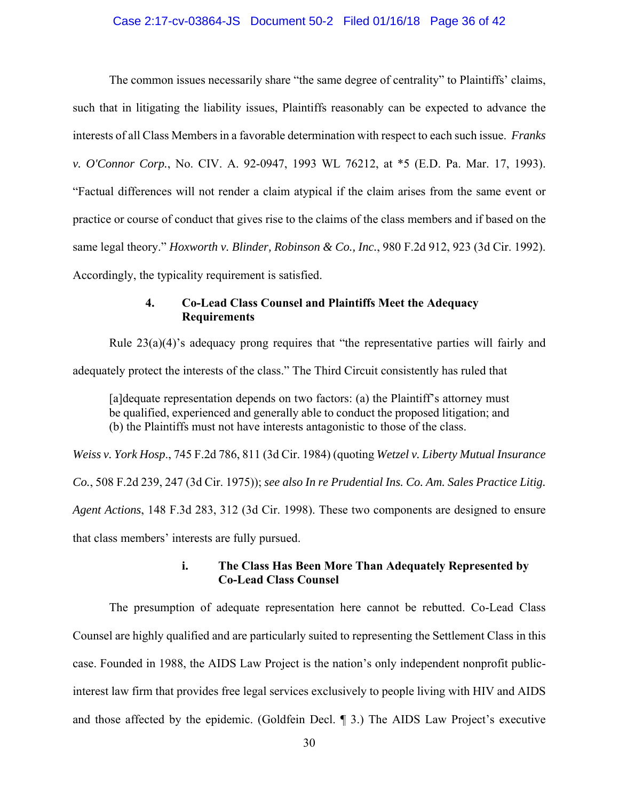## Case 2:17-cv-03864-JS Document 50-2 Filed 01/16/18 Page 36 of 42

The common issues necessarily share "the same degree of centrality" to Plaintiffs' claims, such that in litigating the liability issues, Plaintiffs reasonably can be expected to advance the interests of all Class Members in a favorable determination with respect to each such issue. *Franks v. O'Connor Corp.*, No. CIV. A. 92-0947, 1993 WL 76212, at \*5 (E.D. Pa. Mar. 17, 1993). "Factual differences will not render a claim atypical if the claim arises from the same event or practice or course of conduct that gives rise to the claims of the class members and if based on the same legal theory." *Hoxworth v. Blinder, Robinson & Co., Inc.*, 980 F.2d 912, 923 (3d Cir. 1992). Accordingly, the typicality requirement is satisfied.

## **4. Co-Lead Class Counsel and Plaintiffs Meet the Adequacy Requirements**

Rule  $23(a)(4)$ 's adequacy prong requires that "the representative parties will fairly and adequately protect the interests of the class." The Third Circuit consistently has ruled that

[a]dequate representation depends on two factors: (a) the Plaintiff's attorney must be qualified, experienced and generally able to conduct the proposed litigation; and (b) the Plaintiffs must not have interests antagonistic to those of the class.

*Weiss v. York Hosp*., 745 F.2d 786, 811 (3d Cir. 1984) (quoting *Wetzel v. Liberty Mutual Insurance Co.*, 508 F.2d 239, 247 (3d Cir. 1975)); *see also In re Prudential Ins. Co. Am. Sales Practice Litig. Agent Actions*, 148 F.3d 283, 312 (3d Cir. 1998). These two components are designed to ensure that class members' interests are fully pursued.

## **i. The Class Has Been More Than Adequately Represented by Co-Lead Class Counsel**

The presumption of adequate representation here cannot be rebutted. Co-Lead Class Counsel are highly qualified and are particularly suited to representing the Settlement Class in this case. Founded in 1988, the AIDS Law Project is the nation's only independent nonprofit publicinterest law firm that provides free legal services exclusively to people living with HIV and AIDS and those affected by the epidemic. (Goldfein Decl. ¶ 3.) The AIDS Law Project's executive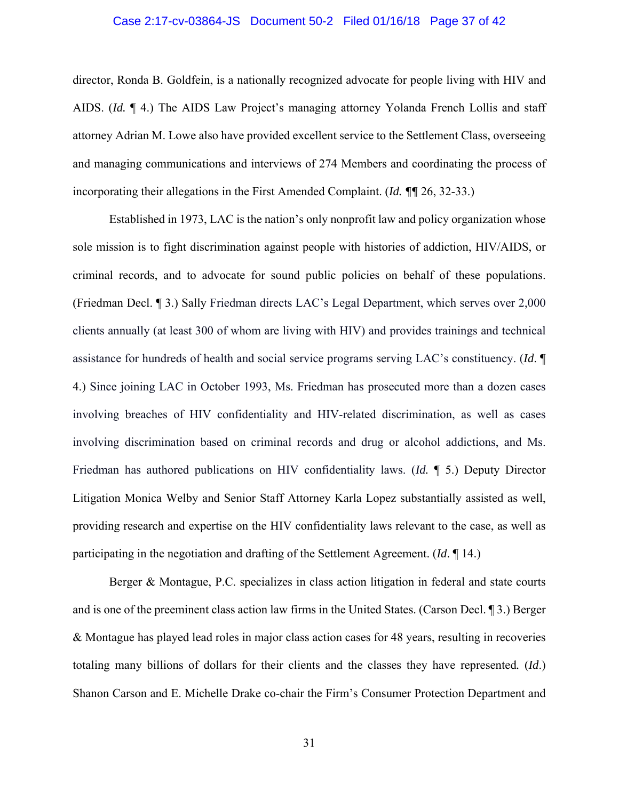## Case 2:17-cv-03864-JS Document 50-2 Filed 01/16/18 Page 37 of 42

director, Ronda B. Goldfein, is a nationally recognized advocate for people living with HIV and AIDS. (*Id.* ¶ 4.) The AIDS Law Project's managing attorney Yolanda French Lollis and staff attorney Adrian M. Lowe also have provided excellent service to the Settlement Class, overseeing and managing communications and interviews of 274 Members and coordinating the process of incorporating their allegations in the First Amended Complaint. (*Id. ¶¶* 26, 32-33.)

 Established in 1973, LAC is the nation's only nonprofit law and policy organization whose sole mission is to fight discrimination against people with histories of addiction, HIV/AIDS, or criminal records, and to advocate for sound public policies on behalf of these populations. (Friedman Decl. ¶ 3.) Sally Friedman directs LAC's Legal Department, which serves over 2,000 clients annually (at least 300 of whom are living with HIV) and provides trainings and technical assistance for hundreds of health and social service programs serving LAC's constituency. (*Id*. ¶ 4.) Since joining LAC in October 1993, Ms. Friedman has prosecuted more than a dozen cases involving breaches of HIV confidentiality and HIV-related discrimination, as well as cases involving discrimination based on criminal records and drug or alcohol addictions, and Ms. Friedman has authored publications on HIV confidentiality laws. (*Id.* ¶ 5.) Deputy Director Litigation Monica Welby and Senior Staff Attorney Karla Lopez substantially assisted as well, providing research and expertise on the HIV confidentiality laws relevant to the case, as well as participating in the negotiation and drafting of the Settlement Agreement. (*Id*. ¶ 14.)

Berger & Montague, P.C. specializes in class action litigation in federal and state courts and is one of the preeminent class action law firms in the United States. (Carson Decl. ¶ 3.) Berger & Montague has played lead roles in major class action cases for 48 years, resulting in recoveries totaling many billions of dollars for their clients and the classes they have represented*.* (*Id*.) Shanon Carson and E. Michelle Drake co-chair the Firm's Consumer Protection Department and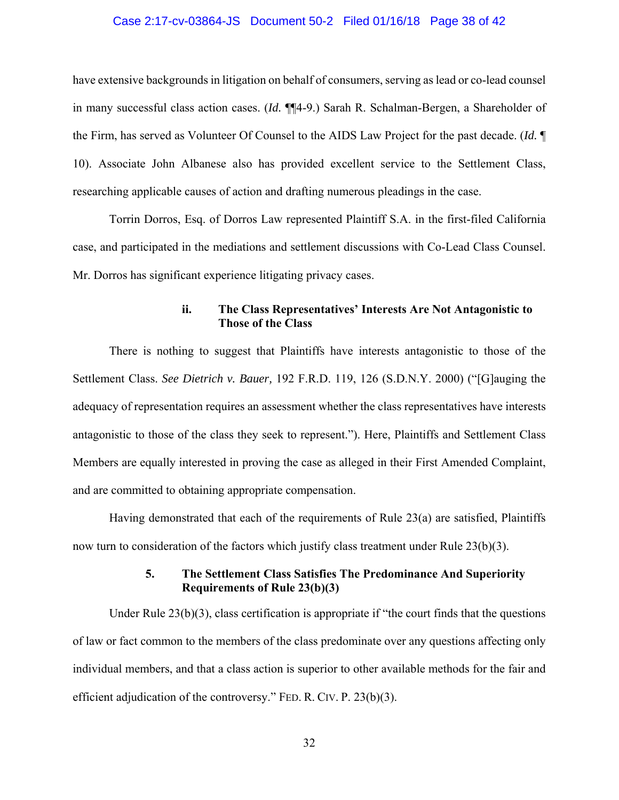## Case 2:17-cv-03864-JS Document 50-2 Filed 01/16/18 Page 38 of 42

have extensive backgrounds in litigation on behalf of consumers, serving as lead or co-lead counsel in many successful class action cases. (*Id.* ¶¶4-9.) Sarah R. Schalman-Bergen, a Shareholder of the Firm, has served as Volunteer Of Counsel to the AIDS Law Project for the past decade. (*Id.* ¶ 10). Associate John Albanese also has provided excellent service to the Settlement Class, researching applicable causes of action and drafting numerous pleadings in the case.

Torrin Dorros, Esq. of Dorros Law represented Plaintiff S.A. in the first-filed California case, and participated in the mediations and settlement discussions with Co-Lead Class Counsel. Mr. Dorros has significant experience litigating privacy cases.

## **ii. The Class Representatives' Interests Are Not Antagonistic to Those of the Class**

There is nothing to suggest that Plaintiffs have interests antagonistic to those of the Settlement Class. *See Dietrich v. Bauer,* 192 F.R.D. 119, 126 (S.D.N.Y. 2000) ("[G]auging the adequacy of representation requires an assessment whether the class representatives have interests antagonistic to those of the class they seek to represent."). Here, Plaintiffs and Settlement Class Members are equally interested in proving the case as alleged in their First Amended Complaint, and are committed to obtaining appropriate compensation.

Having demonstrated that each of the requirements of Rule 23(a) are satisfied, Plaintiffs now turn to consideration of the factors which justify class treatment under Rule  $23(b)(3)$ .

## **5. The Settlement Class Satisfies The Predominance And Superiority Requirements of Rule 23(b)(3)**

Under Rule  $23(b)(3)$ , class certification is appropriate if "the court finds that the questions" of law or fact common to the members of the class predominate over any questions affecting only individual members, and that a class action is superior to other available methods for the fair and efficient adjudication of the controversy." FED. R. CIV. P. 23(b)(3).

32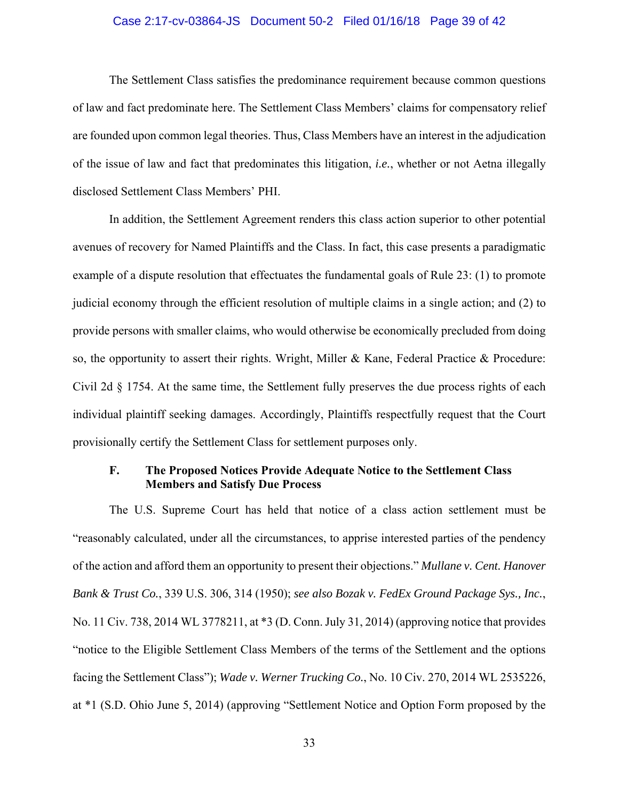## Case 2:17-cv-03864-JS Document 50-2 Filed 01/16/18 Page 39 of 42

The Settlement Class satisfies the predominance requirement because common questions of law and fact predominate here. The Settlement Class Members' claims for compensatory relief are founded upon common legal theories. Thus, Class Members have an interest in the adjudication of the issue of law and fact that predominates this litigation, *i.e.*, whether or not Aetna illegally disclosed Settlement Class Members' PHI.

In addition, the Settlement Agreement renders this class action superior to other potential avenues of recovery for Named Plaintiffs and the Class. In fact, this case presents a paradigmatic example of a dispute resolution that effectuates the fundamental goals of Rule 23: (1) to promote judicial economy through the efficient resolution of multiple claims in a single action; and (2) to provide persons with smaller claims, who would otherwise be economically precluded from doing so, the opportunity to assert their rights. Wright, Miller & Kane, Federal Practice & Procedure: Civil 2d § 1754. At the same time, the Settlement fully preserves the due process rights of each individual plaintiff seeking damages. Accordingly, Plaintiffs respectfully request that the Court provisionally certify the Settlement Class for settlement purposes only.

## **F. The Proposed Notices Provide Adequate Notice to the Settlement Class Members and Satisfy Due Process**

The U.S. Supreme Court has held that notice of a class action settlement must be "reasonably calculated, under all the circumstances, to apprise interested parties of the pendency of the action and afford them an opportunity to present their objections." *Mullane v. Cent. Hanover Bank & Trust Co.*, 339 U.S. 306, 314 (1950); *see also Bozak v. FedEx Ground Package Sys., Inc.*, No. 11 Civ. 738, 2014 WL 3778211, at \*3 (D. Conn. July 31, 2014) (approving notice that provides "notice to the Eligible Settlement Class Members of the terms of the Settlement and the options facing the Settlement Class"); *Wade v. Werner Trucking Co.*, No. 10 Civ. 270, 2014 WL 2535226, at \*1 (S.D. Ohio June 5, 2014) (approving "Settlement Notice and Option Form proposed by the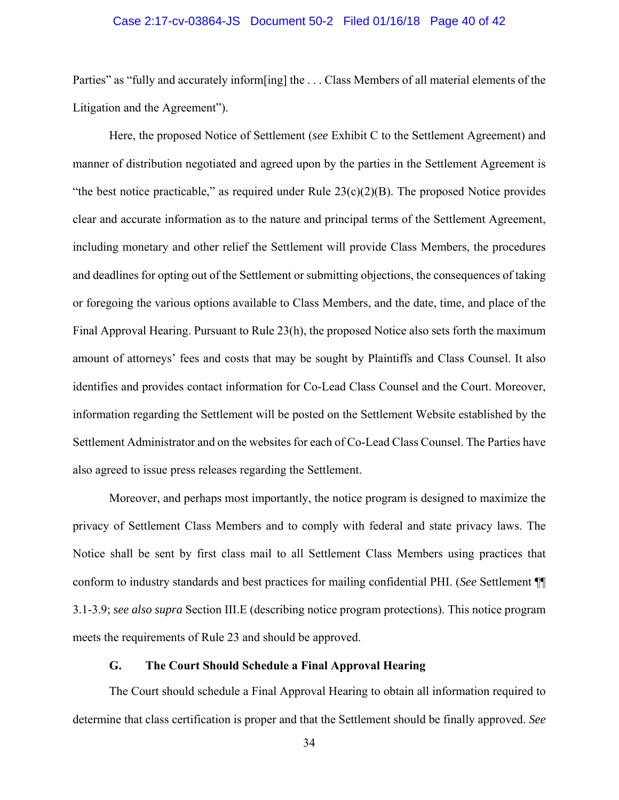## Case 2:17-cv-03864-JS Document 50-2 Filed 01/16/18 Page 40 of 42

Parties" as "fully and accurately inform[ing] the ... Class Members of all material elements of the Litigation and the Agreement").

Here, the proposed Notice of Settlement (*see* Exhibit C to the Settlement Agreement) and manner of distribution negotiated and agreed upon by the parties in the Settlement Agreement is "the best notice practicable," as required under Rule  $23(c)(2)(B)$ . The proposed Notice provides clear and accurate information as to the nature and principal terms of the Settlement Agreement, including monetary and other relief the Settlement will provide Class Members, the procedures and deadlines for opting out of the Settlement or submitting objections, the consequences of taking or foregoing the various options available to Class Members, and the date, time, and place of the Final Approval Hearing. Pursuant to Rule 23(h), the proposed Notice also sets forth the maximum amount of attorneys' fees and costs that may be sought by Plaintiffs and Class Counsel. It also identifies and provides contact information for Co-Lead Class Counsel and the Court. Moreover, information regarding the Settlement will be posted on the Settlement Website established by the Settlement Administrator and on the websites for each of Co-Lead Class Counsel. The Parties have also agreed to issue press releases regarding the Settlement.

Moreover, and perhaps most importantly, the notice program is designed to maximize the privacy of Settlement Class Members and to comply with federal and state privacy laws. The Notice shall be sent by first class mail to all Settlement Class Members using practices that conform to industry standards and best practices for mailing confidential PHI. (*See* Settlement ¶¶ 3.1-3.9; *see also supra* Section III.E (describing notice program protections). This notice program meets the requirements of Rule 23 and should be approved.

## **G. The Court Should Schedule a Final Approval Hearing**

The Court should schedule a Final Approval Hearing to obtain all information required to determine that class certification is proper and that the Settlement should be finally approved. *See*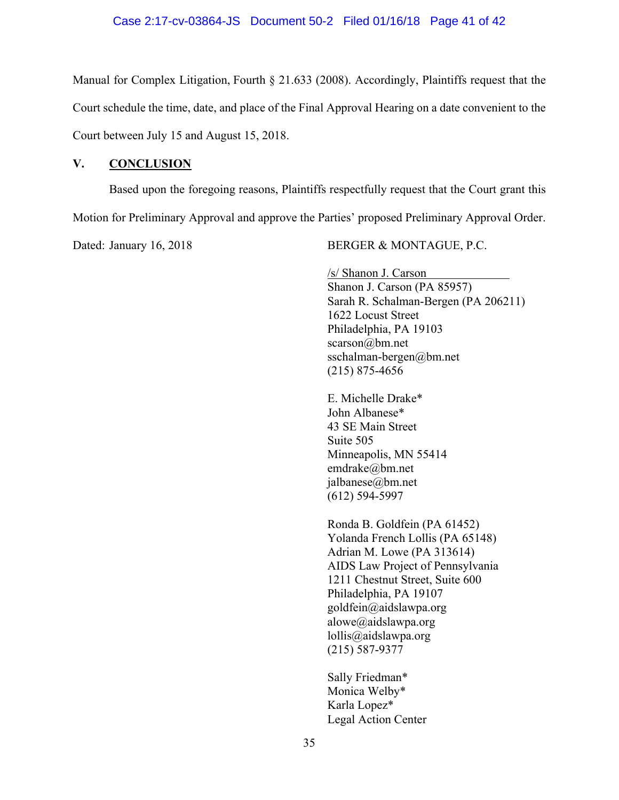## Case 2:17-cv-03864-JS Document 50-2 Filed 01/16/18 Page 41 of 42

Manual for Complex Litigation, Fourth § 21.633 (2008). Accordingly, Plaintiffs request that the Court schedule the time, date, and place of the Final Approval Hearing on a date convenient to the Court between July 15 and August 15, 2018.

## **V. CONCLUSION**

Based upon the foregoing reasons, Plaintiffs respectfully request that the Court grant this Motion for Preliminary Approval and approve the Parties' proposed Preliminary Approval Order.

Dated: January 16, 2018 BERGER & MONTAGUE, P.C.

/s/ Shanon J. Carson Shanon J. Carson (PA 85957) Sarah R. Schalman-Bergen (PA 206211) 1622 Locust Street Philadelphia, PA 19103 scarson@bm.net sschalman-bergen@bm.net (215) 875-4656

E. Michelle Drake\* John Albanese\* 43 SE Main Street Suite 505 Minneapolis, MN 55414 emdrake@bm.net jalbanese@bm.net (612) 594-5997

Ronda B. Goldfein (PA 61452) Yolanda French Lollis (PA 65148) Adrian M. Lowe (PA 313614) AIDS Law Project of Pennsylvania 1211 Chestnut Street, Suite 600 Philadelphia, PA 19107 goldfein@aidslawpa.org alowe@aidslawpa.org lollis@aidslawpa.org (215) 587-9377

Sally Friedman\* Monica Welby\* Karla Lopez\* Legal Action Center